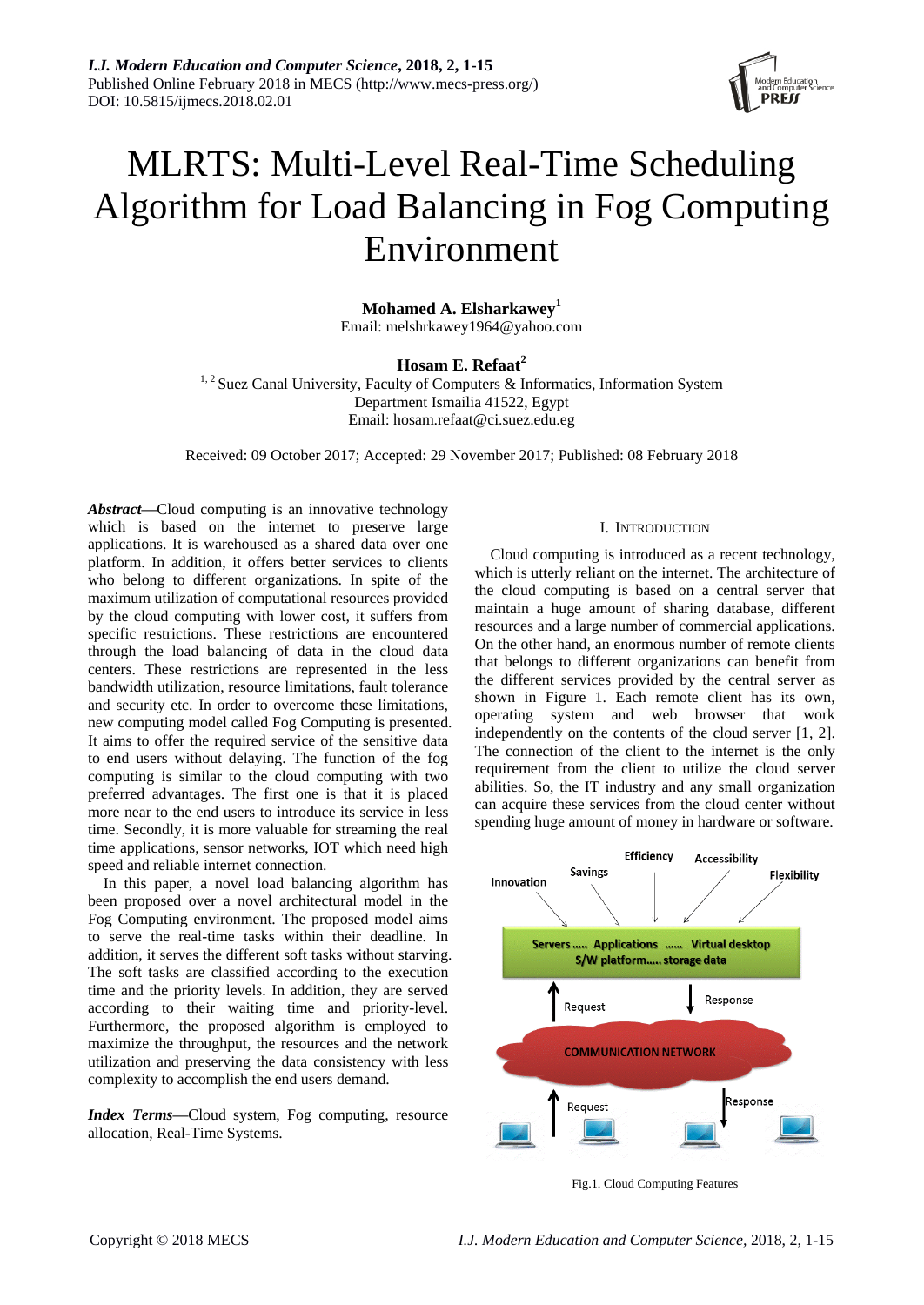

# MLRTS: Multi-Level Real-Time Scheduling Algorithm for Load Balancing in Fog Computing Environment

**Mohamed A. Elsharkawey<sup>1</sup>** Email: melshrkawey1964@yahoo.com

# **Hosam E. Refaat<sup>2</sup>**

 $1, 2$  Suez Canal University, Faculty of Computers & Informatics, Information System Department Ismailia 41522, Egypt Email: hosam.refaat@ci.suez.edu.eg

Received: 09 October 2017; Accepted: 29 November 2017; Published: 08 February 2018

*Abstract***—**Cloud computing is an innovative technology which is based on the internet to preserve large applications. It is warehoused as a shared data over one platform. In addition, it offers better services to clients who belong to different organizations. In spite of the maximum utilization of computational resources provided by the cloud computing with lower cost, it suffers from specific restrictions. These restrictions are encountered through the load balancing of data in the cloud data centers. These restrictions are represented in the less bandwidth utilization, resource limitations, fault tolerance and security etc. In order to overcome these limitations, new computing model called Fog Computing is presented. It aims to offer the required service of the sensitive data to end users without delaying. The function of the fog computing is similar to the cloud computing with two preferred advantages. The first one is that it is placed more near to the end users to introduce its service in less time. Secondly, it is more valuable for streaming the real time applications, sensor networks, IOT which need high speed and reliable internet connection.

In this paper, a novel load balancing algorithm has been proposed over a novel architectural model in the Fog Computing environment. The proposed model aims to serve the real-time tasks within their deadline. In addition, it serves the different soft tasks without starving. The soft tasks are classified according to the execution time and the priority levels. In addition, they are served according to their waiting time and priority-level. Furthermore, the proposed algorithm is employed to maximize the throughput, the resources and the network utilization and preserving the data consistency with less complexity to accomplish the end users demand.

*Index Terms***—**Cloud system, Fog computing, resource allocation, Real-Time Systems.

#### I. INTRODUCTION

Cloud computing is introduced as a recent technology, which is utterly reliant on the internet. The architecture of the cloud computing is based on a central server that maintain a huge amount of sharing database, different resources and a large number of commercial applications. On the other hand, an enormous number of remote clients that belongs to different organizations can benefit from the different services provided by the central server as shown in Figure 1. Each remote client has its own, operating system and web browser that work independently on the contents of the cloud server [1, 2]. The connection of the client to the internet is the only requirement from the client to utilize the cloud server abilities. So, the IT industry and any small organization can acquire these services from the cloud center without spending huge amount of money in hardware or software.



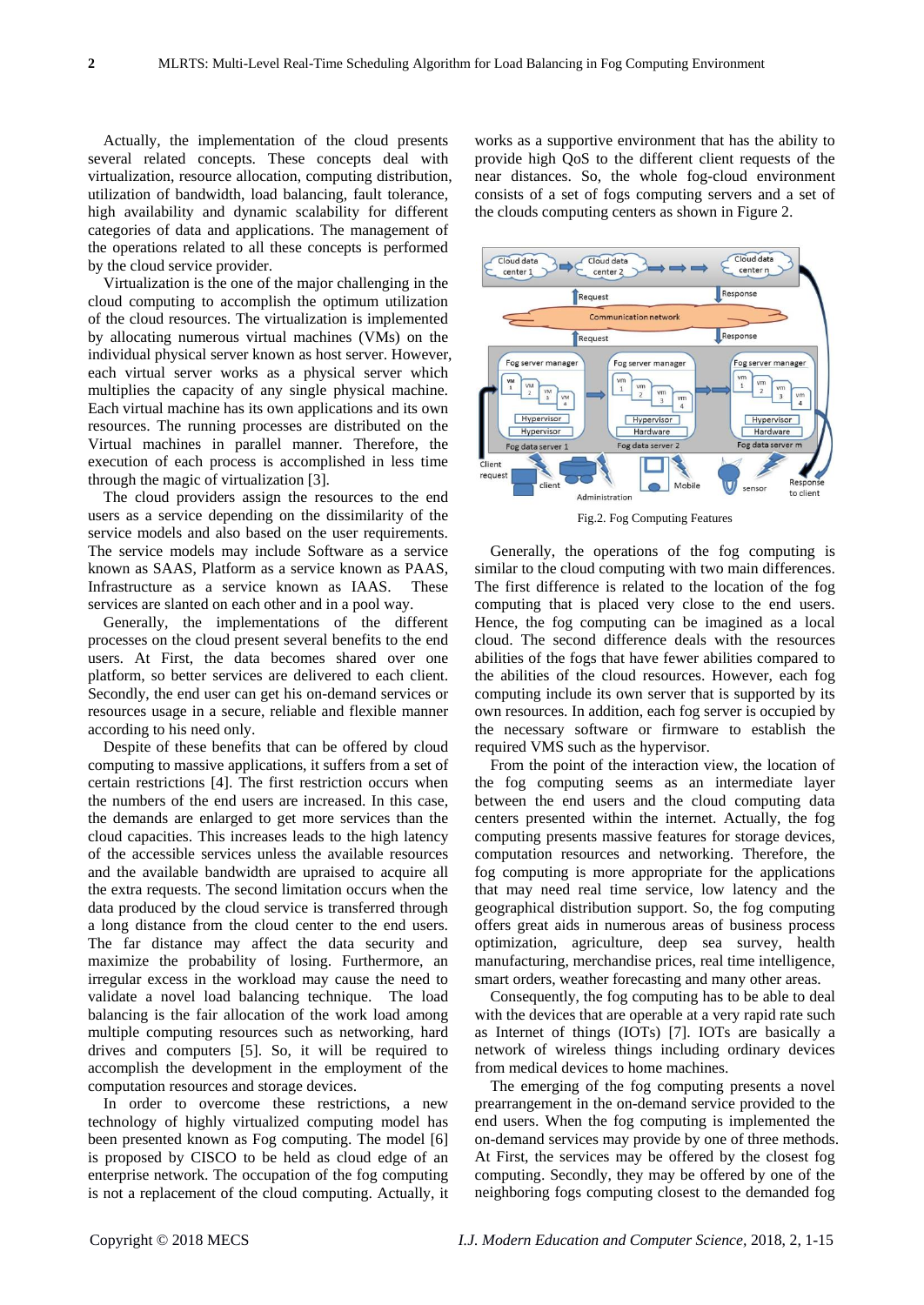Actually, the implementation of the cloud presents several related concepts. These concepts deal with virtualization, resource allocation, computing distribution, utilization of bandwidth, load balancing, fault tolerance, high availability and dynamic scalability for different categories of data and applications. The management of the operations related to all these concepts is performed by the cloud service provider.

Virtualization is the one of the major challenging in the cloud computing to accomplish the optimum utilization of the cloud resources. The virtualization is implemented by allocating numerous virtual machines (VMs) on the individual physical server known as host server. However, each virtual server works as a physical server which multiplies the capacity of any single physical machine. Each virtual machine has its own applications and its own resources. The running processes are distributed on the Virtual machines in parallel manner. Therefore, the execution of each process is accomplished in less time through the magic of virtualization [3].

The cloud providers assign the resources to the end users as a service depending on the dissimilarity of the service models and also based on the user requirements. The service models may include Software as a service known as SAAS, Platform as a service known as PAAS, Infrastructure as a service known as IAAS. These services are slanted on each other and in a pool way.

Generally, the implementations of the different processes on the cloud present several benefits to the end users. At First, the data becomes shared over one platform, so better services are delivered to each client. Secondly, the end user can get his on-demand services or resources usage in a secure, reliable and flexible manner according to his need only.

Despite of these benefits that can be offered by cloud computing to massive applications, it suffers from a set of certain restrictions [4]. The first restriction occurs when the numbers of the end users are increased. In this case, the demands are enlarged to get more services than the cloud capacities. This increases leads to the high latency of the accessible services unless the available resources and the available bandwidth are upraised to acquire all the extra requests. The second limitation occurs when the data produced by the cloud service is transferred through a long distance from the cloud center to the end users. The far distance may affect the data security and maximize the probability of losing. Furthermore, an irregular excess in the workload may cause the need to validate a novel load balancing technique. The load balancing is the fair allocation of the work load among multiple computing resources such as networking, hard drives and computers [5]. So, it will be required to accomplish the development in the employment of the computation resources and storage devices.

In order to overcome these restrictions, a new technology of highly virtualized computing model has been presented known as Fog computing. The model [6] is proposed by CISCO to be held as cloud edge of an enterprise network. The occupation of the fog computing is not a replacement of the cloud computing. Actually, it works as a supportive environment that has the ability to provide high QoS to the different client requests of the near distances. So, the whole fog-cloud environment consists of a set of fogs computing servers and a set of the clouds computing centers as shown in Figure 2.



Fig.2. Fog Computing Features

Generally, the operations of the fog computing is similar to the cloud computing with two main differences. The first difference is related to the location of the fog computing that is placed very close to the end users. Hence, the fog computing can be imagined as a local cloud. The second difference deals with the resources abilities of the fogs that have fewer abilities compared to the abilities of the cloud resources. However, each fog computing include its own server that is supported by its own resources. In addition, each fog server is occupied by the necessary software or firmware to establish the required VMS such as the hypervisor.

From the point of the interaction view, the location of the fog computing seems as an intermediate layer between the end users and the cloud computing data centers presented within the internet. Actually, the fog computing presents massive features for storage devices, computation resources and networking. Therefore, the fog computing is more appropriate for the applications that may need real time service, low latency and the geographical distribution support. So, the fog computing offers great aids in numerous areas of business process optimization, agriculture, deep sea survey, health manufacturing, merchandise prices, real time intelligence, smart orders, weather forecasting and many other areas.

Consequently, the fog computing has to be able to deal with the devices that are operable at a very rapid rate such as Internet of things (IOTs) [7]. IOTs are basically a network of wireless things including ordinary devices from medical devices to home machines.

The emerging of the fog computing presents a novel prearrangement in the on-demand service provided to the end users. When the fog computing is implemented the on-demand services may provide by one of three methods. At First, the services may be offered by the closest fog computing. Secondly, they may be offered by one of the neighboring fogs computing closest to the demanded fog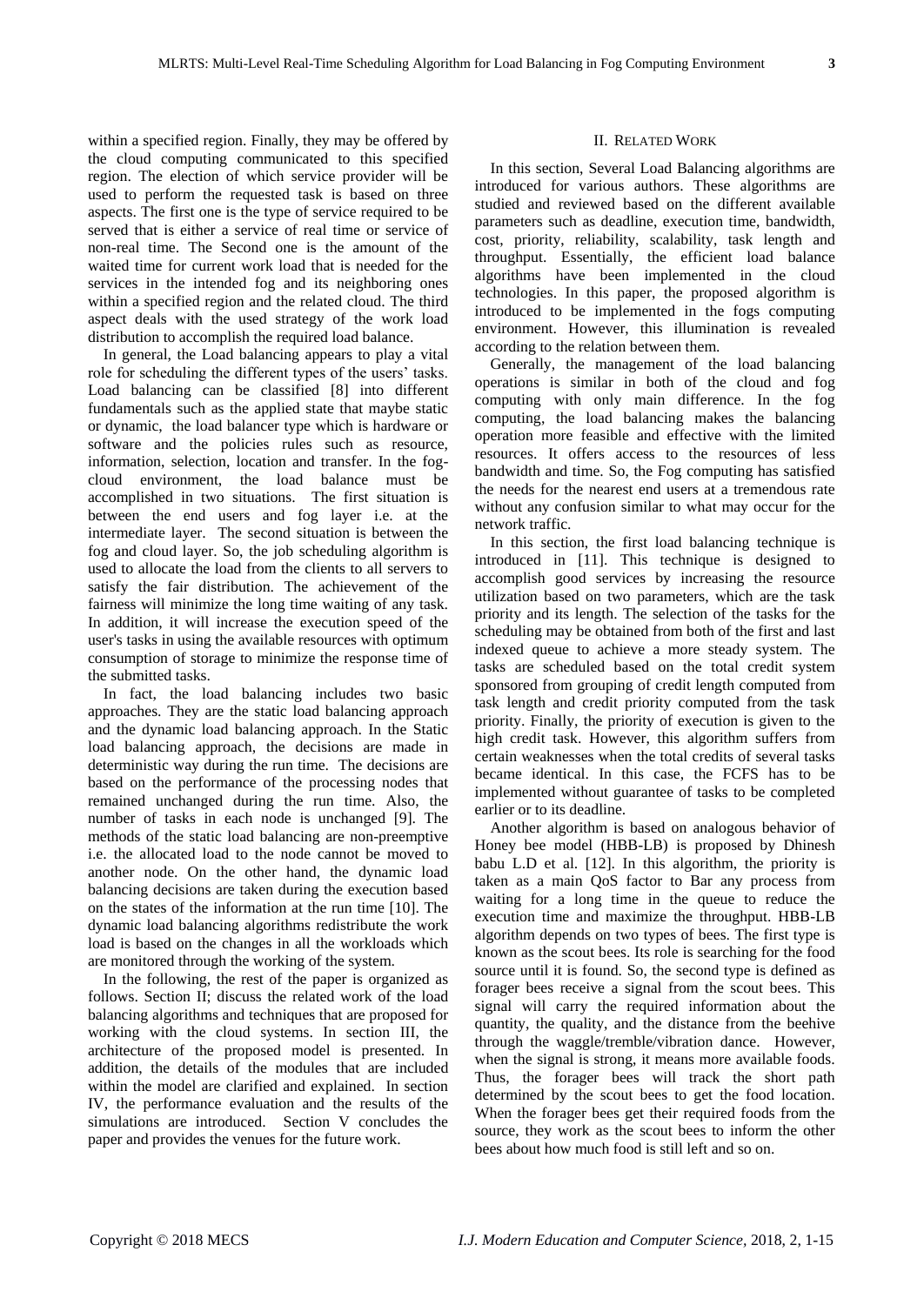within a specified region. Finally, they may be offered by the cloud computing communicated to this specified region. The election of which service provider will be used to perform the requested task is based on three aspects. The first one is the type of service required to be served that is either a service of real time or service of non-real time. The Second one is the amount of the waited time for current work load that is needed for the services in the intended fog and its neighboring ones within a specified region and the related cloud. The third aspect deals with the used strategy of the work load distribution to accomplish the required load balance.

In general, the Load balancing appears to play a vital role for scheduling the different types of the users' tasks. Load balancing can be classified [8] into different fundamentals such as the applied state that maybe static or dynamic, the load balancer type which is hardware or software and the policies rules such as resource, information, selection, location and transfer. In the fogcloud environment, the load balance must be accomplished in two situations. The first situation is between the end users and fog layer i.e. at the intermediate layer. The second situation is between the fog and cloud layer. So, the job scheduling algorithm is used to allocate the load from the clients to all servers to satisfy the fair distribution. The achievement of the fairness will minimize the long time waiting of any task. In addition, it will increase the execution speed of the user's tasks in using the available resources with optimum consumption of storage to minimize the response time of the submitted tasks.

In fact, the load balancing includes two basic approaches. They are the static load balancing approach and the dynamic load balancing approach. In the Static load balancing approach, the decisions are made in deterministic way during the run time. The decisions are based on the performance of the processing nodes that remained unchanged during the run time. Also, the number of tasks in each node is unchanged [9]. The methods of the static load balancing are non-preemptive i.e. the allocated load to the node cannot be moved to another node. On the other hand, the dynamic load balancing decisions are taken during the execution based on the states of the information at the run time [10]. The dynamic load balancing algorithms redistribute the work load is based on the changes in all the workloads which are monitored through the working of the system.

In the following, the rest of the paper is organized as follows. Section II; discuss the related work of the load balancing algorithms and techniques that are proposed for working with the cloud systems. In section III, the architecture of the proposed model is presented. In addition, the details of the modules that are included within the model are clarified and explained. In section IV, the performance evaluation and the results of the simulations are introduced. Section V concludes the paper and provides the venues for the future work.

# II. RELATED WORK

In this section, Several Load Balancing algorithms are introduced for various authors. These algorithms are studied and reviewed based on the different available parameters such as deadline, execution time, bandwidth, cost, priority, reliability, scalability, task length and throughput. Essentially, the efficient load balance algorithms have been implemented in the cloud technologies. In this paper, the proposed algorithm is introduced to be implemented in the fogs computing environment. However, this illumination is revealed according to the relation between them.

Generally, the management of the load balancing operations is similar in both of the cloud and fog computing with only main difference. In the fog computing, the load balancing makes the balancing operation more feasible and effective with the limited resources. It offers access to the resources of less bandwidth and time. So, the Fog computing has satisfied the needs for the nearest end users at a tremendous rate without any confusion similar to what may occur for the network traffic.

In this section, the first load balancing technique is introduced in [11]. This technique is designed to accomplish good services by increasing the resource utilization based on two parameters, which are the task priority and its length. The selection of the tasks for the scheduling may be obtained from both of the first and last indexed queue to achieve a more steady system. The tasks are scheduled based on the total credit system sponsored from grouping of credit length computed from task length and credit priority computed from the task priority. Finally, the priority of execution is given to the high credit task. However, this algorithm suffers from certain weaknesses when the total credits of several tasks became identical. In this case, the FCFS has to be implemented without guarantee of tasks to be completed earlier or to its deadline.

Another algorithm is based on analogous behavior of Honey bee model (HBB-LB) is proposed by Dhinesh babu L.D et al. [12]. In this algorithm, the priority is taken as a main QoS factor to Bar any process from waiting for a long time in the queue to reduce the execution time and maximize the throughput. HBB-LB algorithm depends on two types of bees. The first type is known as the scout bees. Its role is searching for the food source until it is found. So, the second type is defined as forager bees receive a signal from the scout bees. This signal will carry the required information about the quantity, the quality, and the distance from the beehive through the waggle/tremble/vibration dance. However, when the signal is strong, it means more available foods. Thus, the forager bees will track the short path determined by the scout bees to get the food location. When the forager bees get their required foods from the source, they work as the scout bees to inform the other bees about how much food is still left and so on.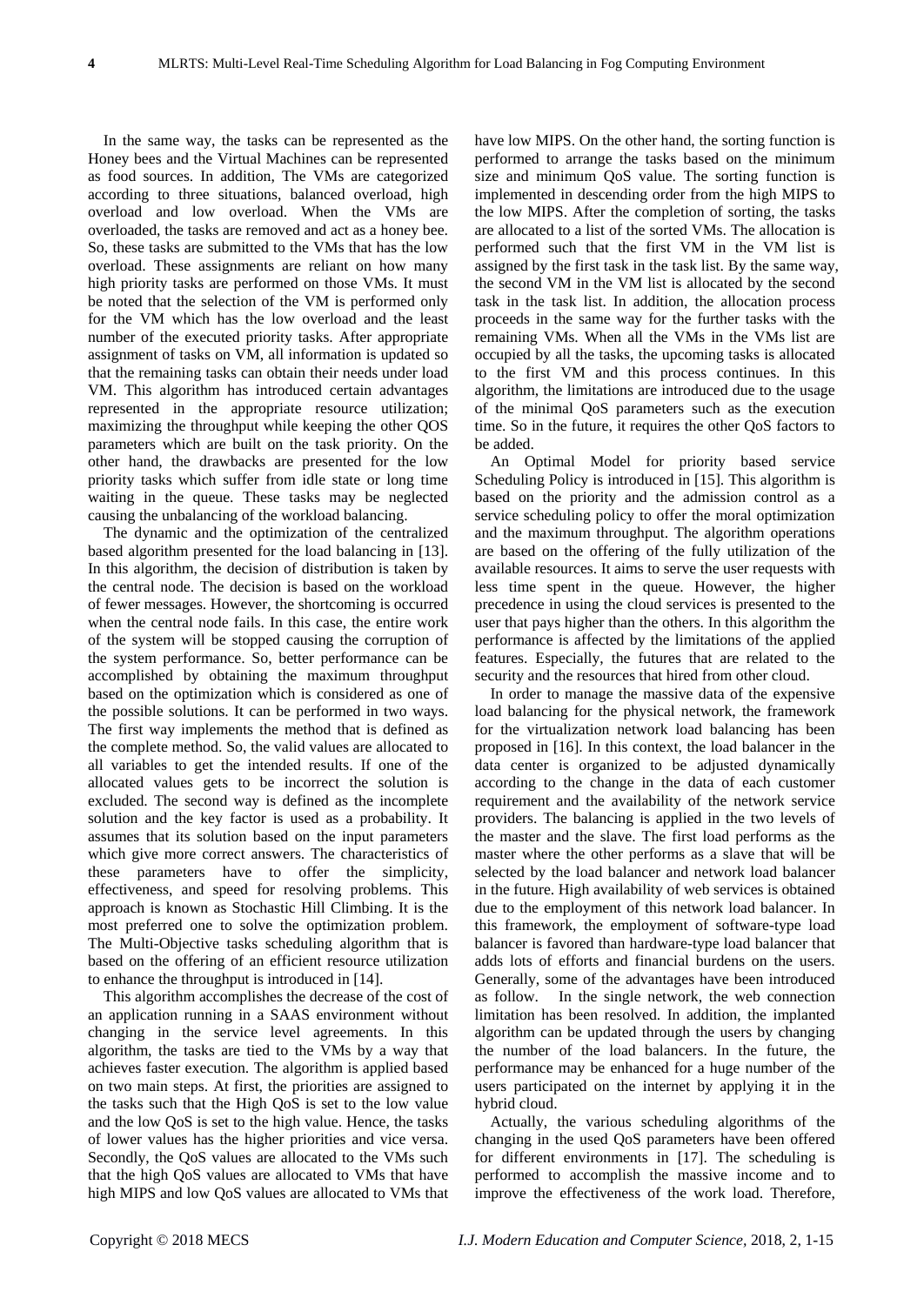In the same way, the tasks can be represented as the Honey bees and the Virtual Machines can be represented as food sources. In addition, The VMs are categorized according to three situations, balanced overload, high overload and low overload. When the VMs are overloaded, the tasks are removed and act as a honey bee. So, these tasks are submitted to the VMs that has the low overload. These assignments are reliant on how many high priority tasks are performed on those VMs. It must be noted that the selection of the VM is performed only for the VM which has the low overload and the least number of the executed priority tasks. After appropriate assignment of tasks on VM, all information is updated so that the remaining tasks can obtain their needs under load VM. This algorithm has introduced certain advantages represented in the appropriate resource utilization; maximizing the throughput while keeping the other QOS parameters which are built on the task priority. On the other hand, the drawbacks are presented for the low priority tasks which suffer from idle state or long time waiting in the queue. These tasks may be neglected causing the unbalancing of the workload balancing.

The dynamic and the optimization of the centralized based algorithm presented for the load balancing in [13]. In this algorithm, the decision of distribution is taken by the central node. The decision is based on the workload of fewer messages. However, the shortcoming is occurred when the central node fails. In this case, the entire work of the system will be stopped causing the corruption of the system performance. So, better performance can be accomplished by obtaining the maximum throughput based on the optimization which is considered as one of the possible solutions. It can be performed in two ways. The first way implements the method that is defined as the complete method. So, the valid values are allocated to all variables to get the intended results. If one of the allocated values gets to be incorrect the solution is excluded. The second way is defined as the incomplete solution and the key factor is used as a probability. It assumes that its solution based on the input parameters which give more correct answers. The characteristics of these parameters have to offer the simplicity, effectiveness, and speed for resolving problems. This approach is known as Stochastic Hill Climbing. It is the most preferred one to solve the optimization problem. The Multi-Objective tasks scheduling algorithm that is based on the offering of an efficient resource utilization to enhance the throughput is introduced in [14].

This algorithm accomplishes the decrease of the cost of an application running in a SAAS environment without changing in the service level agreements. In this algorithm, the tasks are tied to the VMs by a way that achieves faster execution. The algorithm is applied based on two main steps. At first, the priorities are assigned to the tasks such that the High QoS is set to the low value and the low QoS is set to the high value. Hence, the tasks of lower values has the higher priorities and vice versa. Secondly, the QoS values are allocated to the VMs such that the high QoS values are allocated to VMs that have high MIPS and low QoS values are allocated to VMs that

have low MIPS. On the other hand, the sorting function is performed to arrange the tasks based on the minimum size and minimum QoS value. The sorting function is implemented in descending order from the high MIPS to the low MIPS. After the completion of sorting, the tasks are allocated to a list of the sorted VMs. The allocation is performed such that the first VM in the VM list is assigned by the first task in the task list. By the same way, the second VM in the VM list is allocated by the second task in the task list. In addition, the allocation process proceeds in the same way for the further tasks with the remaining VMs. When all the VMs in the VMs list are occupied by all the tasks, the upcoming tasks is allocated to the first VM and this process continues. In this algorithm, the limitations are introduced due to the usage of the minimal QoS parameters such as the execution time. So in the future, it requires the other QoS factors to be added.

An Optimal Model for priority based service Scheduling Policy is introduced in [15]. This algorithm is based on the priority and the admission control as a service scheduling policy to offer the moral optimization and the maximum throughput. The algorithm operations are based on the offering of the fully utilization of the available resources. It aims to serve the user requests with less time spent in the queue. However, the higher precedence in using the cloud services is presented to the user that pays higher than the others. In this algorithm the performance is affected by the limitations of the applied features. Especially, the futures that are related to the security and the resources that hired from other cloud.

In order to manage the massive data of the expensive load balancing for the physical network, the framework for the virtualization network load balancing has been proposed in [16]. In this context, the load balancer in the data center is organized to be adjusted dynamically according to the change in the data of each customer requirement and the availability of the network service providers. The balancing is applied in the two levels of the master and the slave. The first load performs as the master where the other performs as a slave that will be selected by the load balancer and network load balancer in the future. High availability of web services is obtained due to the employment of this network load balancer. In this framework, the employment of software-type load balancer is favored than hardware-type load balancer that adds lots of efforts and financial burdens on the users. Generally, some of the advantages have been introduced as follow. In the single network, the web connection limitation has been resolved. In addition, the implanted algorithm can be updated through the users by changing the number of the load balancers. In the future, the performance may be enhanced for a huge number of the users participated on the internet by applying it in the hybrid cloud.

Actually, the various scheduling algorithms of the changing in the used QoS parameters have been offered for different environments in [17]. The scheduling is performed to accomplish the massive income and to improve the effectiveness of the work load. Therefore,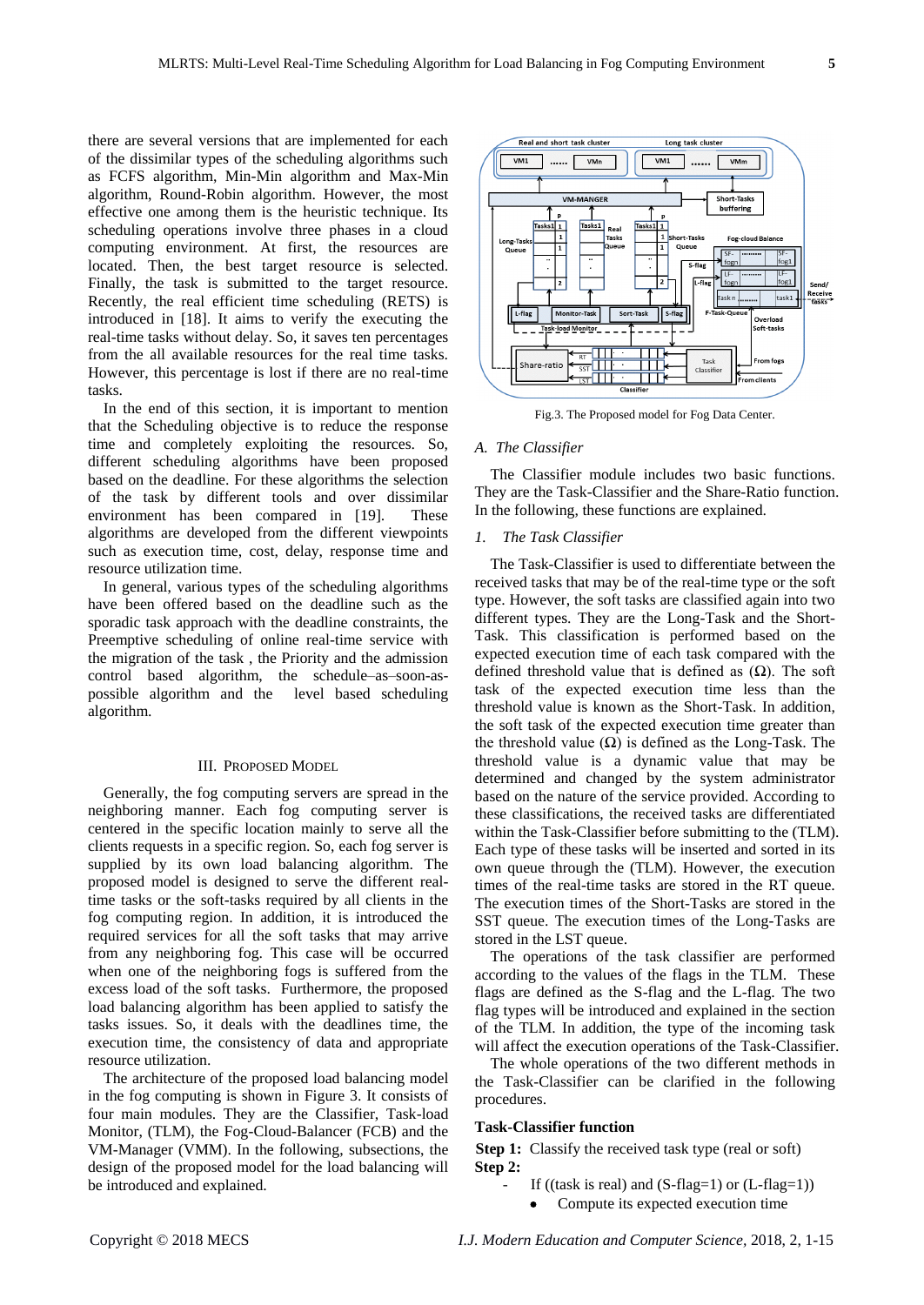there are several versions that are implemented for each of the dissimilar types of the scheduling algorithms such as FCFS algorithm, Min-Min algorithm and Max-Min algorithm, Round-Robin algorithm. However, the most effective one among them is the heuristic technique. Its scheduling operations involve three phases in a cloud computing environment. At first, the resources are located. Then, the best target resource is selected. Finally, the task is submitted to the target resource. Recently, the real efficient time scheduling (RETS) is introduced in [18]. It aims to verify the executing the real-time tasks without delay. So, it saves ten percentages from the all available resources for the real time tasks. However, this percentage is lost if there are no real-time tasks.

In the end of this section, it is important to mention that the Scheduling objective is to reduce the response time and completely exploiting the resources. So, different scheduling algorithms have been proposed based on the deadline. For these algorithms the selection of the task by different tools and over dissimilar environment has been compared in [19]. These algorithms are developed from the different viewpoints such as execution time, cost, delay, response time and resource utilization time.

In general, various types of the scheduling algorithms have been offered based on the deadline such as the sporadic task approach with the deadline constraints, the Preemptive scheduling of online real-time service with the migration of the task , the Priority and the admission control based algorithm, the schedule–as–soon-aspossible algorithm and the level based scheduling algorithm.

#### III. PROPOSED MODEL

Generally, the fog computing servers are spread in the neighboring manner. Each fog computing server is centered in the specific location mainly to serve all the clients requests in a specific region. So, each fog server is supplied by its own load balancing algorithm. The proposed model is designed to serve the different realtime tasks or the soft-tasks required by all clients in the fog computing region. In addition, it is introduced the required services for all the soft tasks that may arrive from any neighboring fog. This case will be occurred when one of the neighboring fogs is suffered from the excess load of the soft tasks. Furthermore, the proposed load balancing algorithm has been applied to satisfy the tasks issues. So, it deals with the deadlines time, the execution time, the consistency of data and appropriate resource utilization.

The architecture of the proposed load balancing model in the fog computing is shown in Figure 3. It consists of four main modules. They are the Classifier, Task-load Monitor, (TLM), the Fog-Cloud-Balancer (FCB) and the VM-Manager (VMM). In the following, subsections, the design of the proposed model for the load balancing will be introduced and explained.



Fig.3. The Proposed model for Fog Data Center.

# *A. The Classifier*

The Classifier module includes two basic functions. They are the Task-Classifier and the Share-Ratio function. In the following, these functions are explained.

# *1. The Task Classifier*

The Task-Classifier is used to differentiate between the received tasks that may be of the real-time type or the soft type. However, the soft tasks are classified again into two different types. They are the Long-Task and the Short-Task. This classification is performed based on the expected execution time of each task compared with the defined threshold value that is defined as (Ω). The soft task of the expected execution time less than the threshold value is known as the Short-Task. In addition, the soft task of the expected execution time greater than the threshold value  $(Ω)$  is defined as the Long-Task. The threshold value is a dynamic value that may be determined and changed by the system administrator based on the nature of the service provided. According to these classifications, the received tasks are differentiated within the Task-Classifier before submitting to the (TLM). Each type of these tasks will be inserted and sorted in its own queue through the (TLM). However, the execution times of the real-time tasks are stored in the RT queue. The execution times of the Short-Tasks are stored in the SST queue. The execution times of the Long-Tasks are stored in the LST queue.

The operations of the task classifier are performed according to the values of the flags in the TLM. These flags are defined as the S-flag and the L-flag. The two flag types will be introduced and explained in the section of the TLM. In addition, the type of the incoming task will affect the execution operations of the Task-Classifier.

The whole operations of the two different methods in the Task-Classifier can be clarified in the following procedures.

#### **Task-Classifier function**

**Step 1:** Classify the received task type (real or soft) **Step 2:** 

- If ((task is real) and  $(S$ -flag=1) or  $(L$ -flag=1))
	- Compute its expected execution time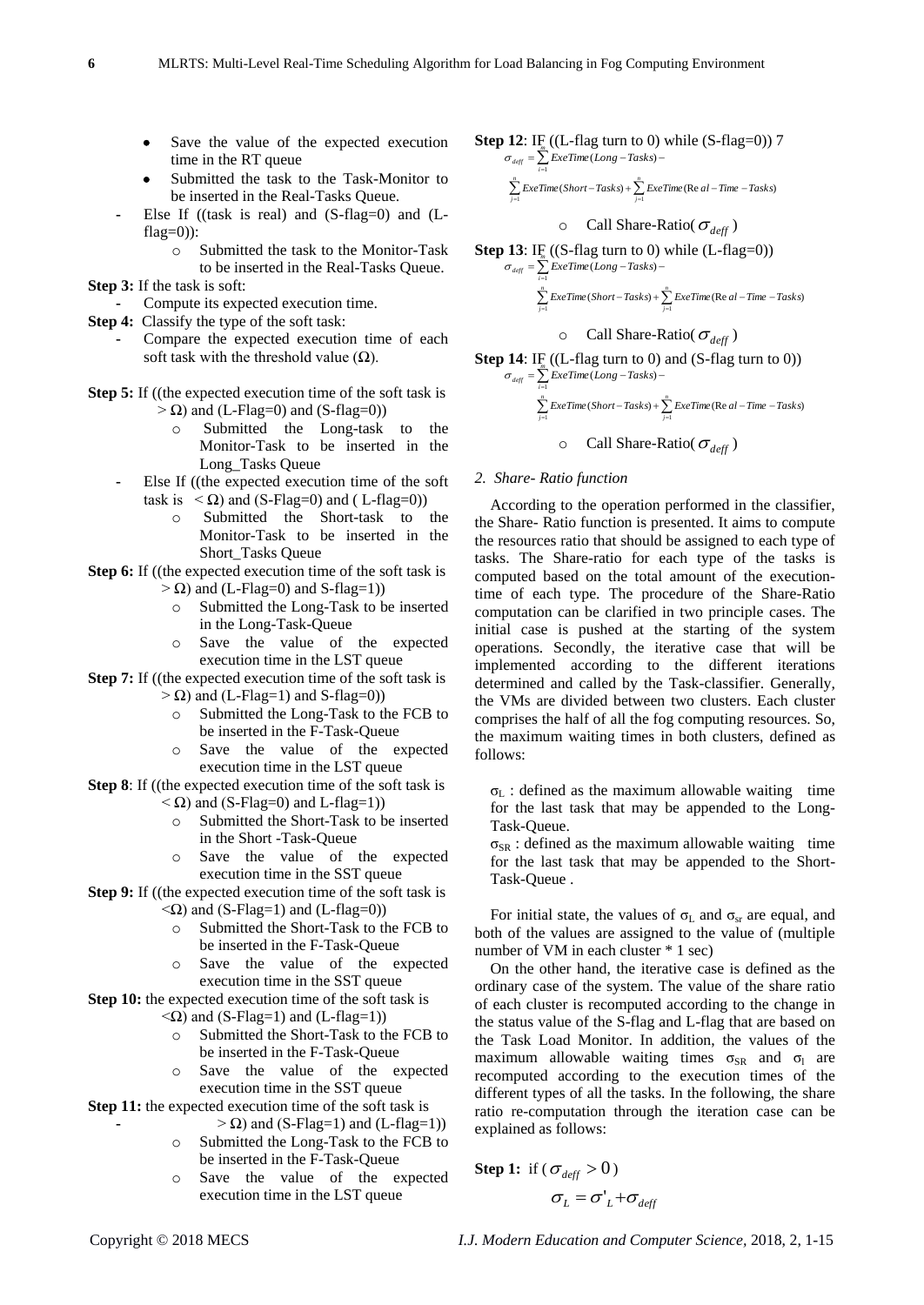- Save the value of the expected execution time in the RT queue
- Submitted the task to the Task-Monitor to be inserted in the Real-Tasks Queue.
- Else If ((task is real) and (S-flag=0) and (L $fla$ g=0)):
	- o Submitted the task to the Monitor-Task to be inserted in the Real-Tasks Queue.
- **Step 3:** If the task is soft:
- **-** Compute its expected execution time.
- **Step 4:** Classify the type of the soft task:
	- **-** Compare the expected execution time of each soft task with the threshold value  $(\Omega)$ .
- **Step 5:** If ((the expected execution time of the soft task is  $> \Omega$ ) and (L-Flag=0) and (S-flag=0))
	- o Submitted the Long-task to the Monitor-Task to be inserted in the Long\_Tasks Queue
	- **-** Else If ((the expected execution time of the soft task is  $\langle \Omega \rangle$  and (S-Flag=0) and (L-flag=0))
		- o Submitted the Short-task to the Monitor-Task to be inserted in the Short\_Tasks Queue
- **Step 6:** If ((the expected execution time of the soft task is  $> \Omega$ ) and (L-Flag=0) and S-flag=1))
	- Submitted the Long-Task to be inserted in the Long-Task-Queue
	- o Save the value of the expected execution time in the LST queue
- **Step 7:** If ((the expected execution time of the soft task is
	- $> \Omega$ ) and (L-Flag=1) and S-flag=0))
		- o Submitted the Long-Task to the FCB to be inserted in the F-Task-Queue
	- o Save the value of the expected execution time in the LST queue
- **Step 8**: If ((the expected execution time of the soft task is  $< \Omega$ ) and (S-Flag=0) and L-flag=1))
	- o Submitted the Short-Task to be inserted in the Short -Task-Queue
	- o Save the value of the expected execution time in the SST queue
- **Step 9:** If ((the expected execution time of the soft task is  $\langle \Omega \rangle$  and (S-Flag=1) and (L-flag=0))
	- o Submitted the Short-Task to the FCB to be inserted in the F-Task-Queue
	- o Save the value of the expected execution time in the SST queue
- **Step 10:** the expected execution time of the soft task is  $\langle \Omega \rangle$  and (S-Flag=1) and (L-flag=1))
	- o Submitted the Short-Task to the FCB to be inserted in the F-Task-Queue
	- o Save the value of the expected execution time in the SST queue
- **Step 11:** the expected execution time of the soft task is
	- **-** > Ω) and (S-Flag=1) and (L-flag=1)) o Submitted the Long-Task to the FCB to
	- be inserted in the F-Task-Queue o Save the value of the expected execution time in the LST queue

**Step 12:** IF<sub>n</sub> ((L-flag turn to 0) while (S-flag=0)) 7  

$$
\sigma_{\text{def}} = \sum_{i=1}^{m} \text{Exerm}(Long - \text{Tasks}) -
$$

 $\sum_{j=1}^{n} ExeTime(Short-Tasks) + \sum_{j=1}^{n} ExeTime(Re al-Time-Tasks)$ *j j*  $j=1$ 

$$
\circ \quad \text{Call share-Ratio}(\sigma_{\text{deff}})
$$

**Step 13:** IF 
$$
((S\text{-flag turn to 0}) \text{ while } (L\text{-flag=0}))
$$
  

$$
\sigma_{\text{def}} = \sum_{i=1}^{m} \text{ExeTime}(Long - Tasks) -
$$

$$
\sum_{j=1}^{n} \text{ExeTime}(Short - Tasks) + \sum_{j=1}^{n} \text{ExeTime}(\text{Re } al - Time - Tasks)
$$

$$
\circ \quad \text{Call share-Ratio}(\,\sigma_{\text{deff}}\,)
$$

**Step 14:** IF<sub>m</sub> ((L-flag turn to 0) and (S-flag turn to 0)) 
$$
\sigma_{\text{def}} = \sum_{i=1}^{m} \text{Exerm}(Long - \text{Tasks}) -
$$

$$
\sum_{j=1}^{n} ExeTime(Short - Tasks) + \sum_{j=1}^{n} ExeTime(Re \ al - Time - Tasks)
$$

$$
\circ \quad \text{Call share-Ratio}(\sigma_{\text{deff}})
$$

#### *2. Share- Ratio function*

*i*

1

According to the operation performed in the classifier, the Share- Ratio function is presented. It aims to compute the resources ratio that should be assigned to each type of tasks. The Share-ratio for each type of the tasks is computed based on the total amount of the executiontime of each type. The procedure of the Share-Ratio computation can be clarified in two principle cases. The initial case is pushed at the starting of the system operations. Secondly, the iterative case that will be implemented according to the different iterations determined and called by the Task-classifier. Generally, the VMs are divided between two clusters. Each cluster comprises the half of all the fog computing resources. So, the maximum waiting times in both clusters, defined as follows:

 $\sigma_{\text{I}}$ : defined as the maximum allowable waiting time for the last task that may be appended to the Long-Task-Queue.

 $\sigma_{SR}$ : defined as the maximum allowable waiting time for the last task that may be appended to the Short-Task-Queue .

For initial state, the values of  $\sigma_{\text{L}}$  and  $\sigma_{\text{sr}}$  are equal, and both of the values are assigned to the value of (multiple number of VM in each cluster \* 1 sec)

On the other hand, the iterative case is defined as the ordinary case of the system. The value of the share ratio of each cluster is recomputed according to the change in the status value of the S-flag and L-flag that are based on the Task Load Monitor. In addition, the values of the maximum allowable waiting times  $\sigma_{SR}$  and  $\sigma_l$  are recomputed according to the execution times of the different types of all the tasks. In the following, the share ratio re-computation through the iteration case can be explained as follows:

**Step 1:** if 
$$
(\sigma_{\text{def}} > 0)
$$
  
 $\sigma_L = \sigma'_L + \sigma_{\text{def}}$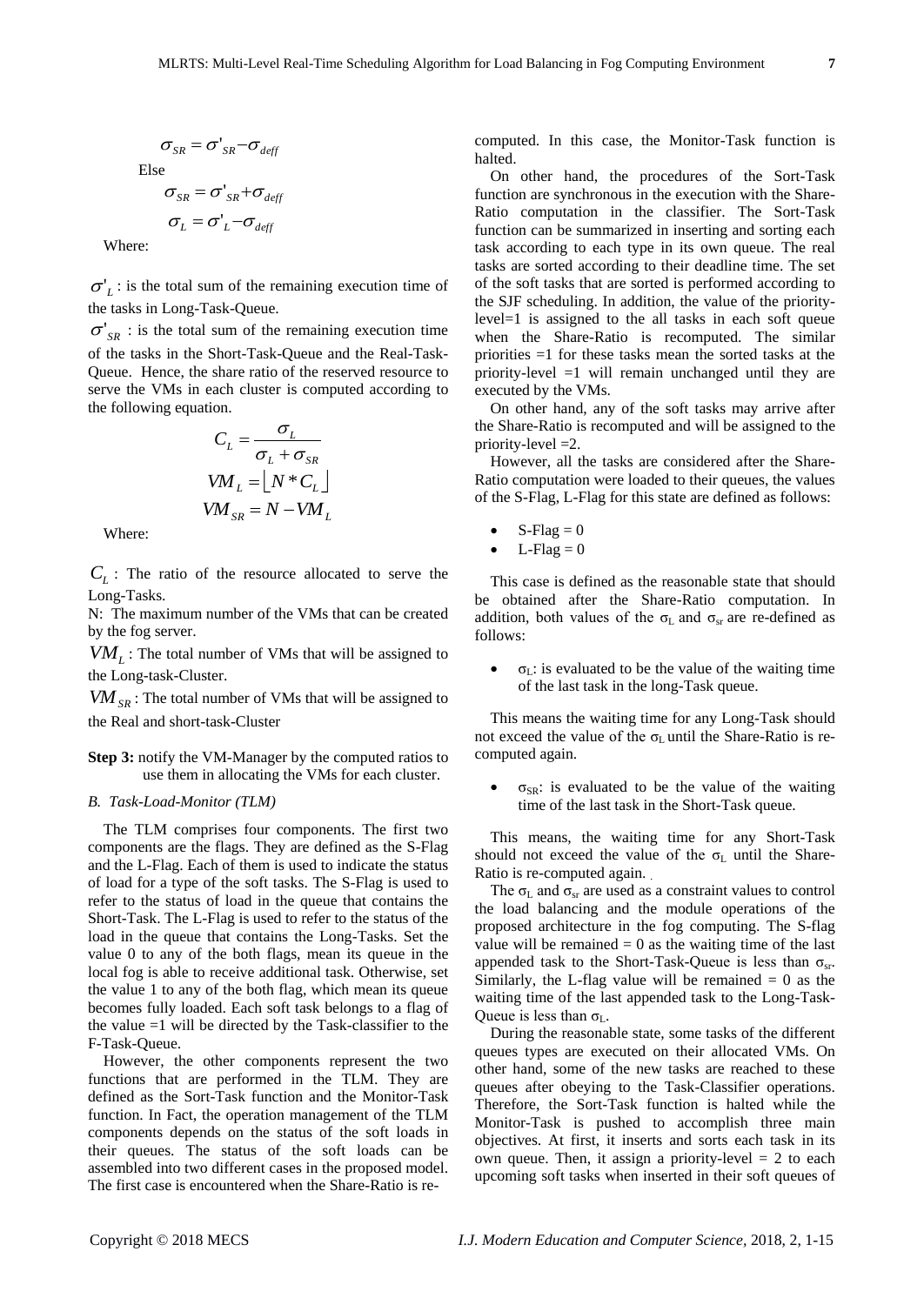$$
\sigma_{SR} = \sigma'_{SR} - \sigma_{def}
$$
  
Else  

$$
\sigma_{SR} = \sigma'_{SR} + \sigma_{def}
$$

$$
\sigma_L = \sigma'_L - \sigma_{def}
$$

Where:

 $\sigma'_{L}$ : is the total sum of the remaining execution time of the tasks in Long-Task-Queue.

 $\sigma'_{SR}$ : is the total sum of the remaining execution time of the tasks in the Short-Task-Queue and the Real-Task-Queue. Hence, the share ratio of the reserved resource to serve the VMs in each cluster is computed according to the following equation.

$$
C_L = \frac{\sigma_L}{\sigma_L + \sigma_{SR}}
$$
  
\n
$$
VM_L = \lfloor N * C_L \rfloor
$$
  
\n
$$
VM_{SR} = N - VM_L
$$

Where:

 $C_L$ : The ratio of the resource allocated to serve the Long-Tasks.

N: The maximum number of the VMs that can be created by the fog server.

 $VM<sub>L</sub>$ : The total number of VMs that will be assigned to the Long-task-Cluster.

*VMSR* : The total number of VMs that will be assigned to the Real and short-task-Cluster

**Step 3:** notify the VM-Manager by the computed ratios to use them in allocating the VMs for each cluster.

#### *B. Task-Load-Monitor (TLM)*

The TLM comprises four components. The first two components are the flags. They are defined as the S-Flag and the L-Flag. Each of them is used to indicate the status of load for a type of the soft tasks. The S-Flag is used to refer to the status of load in the queue that contains the Short-Task. The L-Flag is used to refer to the status of the load in the queue that contains the Long-Tasks. Set the value 0 to any of the both flags, mean its queue in the local fog is able to receive additional task. Otherwise, set the value 1 to any of the both flag, which mean its queue becomes fully loaded. Each soft task belongs to a flag of the value  $=1$  will be directed by the Task-classifier to the F-Task-Queue.

However, the other components represent the two functions that are performed in the TLM. They are defined as the Sort-Task function and the Monitor-Task function. In Fact, the operation management of the TLM components depends on the status of the soft loads in their queues. The status of the soft loads can be assembled into two different cases in the proposed model. The first case is encountered when the Share-Ratio is recomputed. In this case, the Monitor-Task function is halted.

On other hand, the procedures of the Sort-Task function are synchronous in the execution with the Share-Ratio computation in the classifier. The Sort-Task function can be summarized in inserting and sorting each task according to each type in its own queue. The real tasks are sorted according to their deadline time. The set of the soft tasks that are sorted is performed according to the SJF scheduling. In addition, the value of the prioritylevel=1 is assigned to the all tasks in each soft queue when the Share-Ratio is recomputed. The similar priorities =1 for these tasks mean the sorted tasks at the priority-level =1 will remain unchanged until they are executed by the VMs.

On other hand, any of the soft tasks may arrive after the Share-Ratio is recomputed and will be assigned to the priority-level =2.

However, all the tasks are considered after the Share-Ratio computation were loaded to their queues, the values of the S-Flag, L-Flag for this state are defined as follows:

- $S$ -Flag = 0
- $\bullet$  L-Flag = 0

This case is defined as the reasonable state that should be obtained after the Share-Ratio computation. In addition, both values of the  $\sigma_{\rm L}$  and  $\sigma_{\rm sr}$  are re-defined as follows:

 $σ<sub>L</sub>$ : is evaluated to be the value of the waiting time of the last task in the long-Task queue.

This means the waiting time for any Long-Task should not exceed the value of the  $\sigma_L$  until the Share-Ratio is recomputed again.

σ<sub>SR</sub>: is evaluated to be the value of the waiting time of the last task in the Short-Task queue.

This means, the waiting time for any Short-Task should not exceed the value of the  $\sigma_L$  until the Share-Ratio is re-computed again. .

The  $\sigma_{\text{L}}$  and  $\sigma_{\text{sr}}$  are used as a constraint values to control the load balancing and the module operations of the proposed architecture in the fog computing. The S-flag value will be remained  $= 0$  as the waiting time of the last appended task to the Short-Task-Queue is less than  $\sigma_{sr}$ . Similarly, the L-flag value will be remained  $= 0$  as the waiting time of the last appended task to the Long-Task-Queue is less than  $\sigma_{\rm L}$ .

During the reasonable state, some tasks of the different queues types are executed on their allocated VMs. On other hand, some of the new tasks are reached to these queues after obeying to the Task-Classifier operations. Therefore, the Sort-Task function is halted while the Monitor-Task is pushed to accomplish three main objectives. At first, it inserts and sorts each task in its own queue. Then, it assign a priority-level  $= 2$  to each upcoming soft tasks when inserted in their soft queues of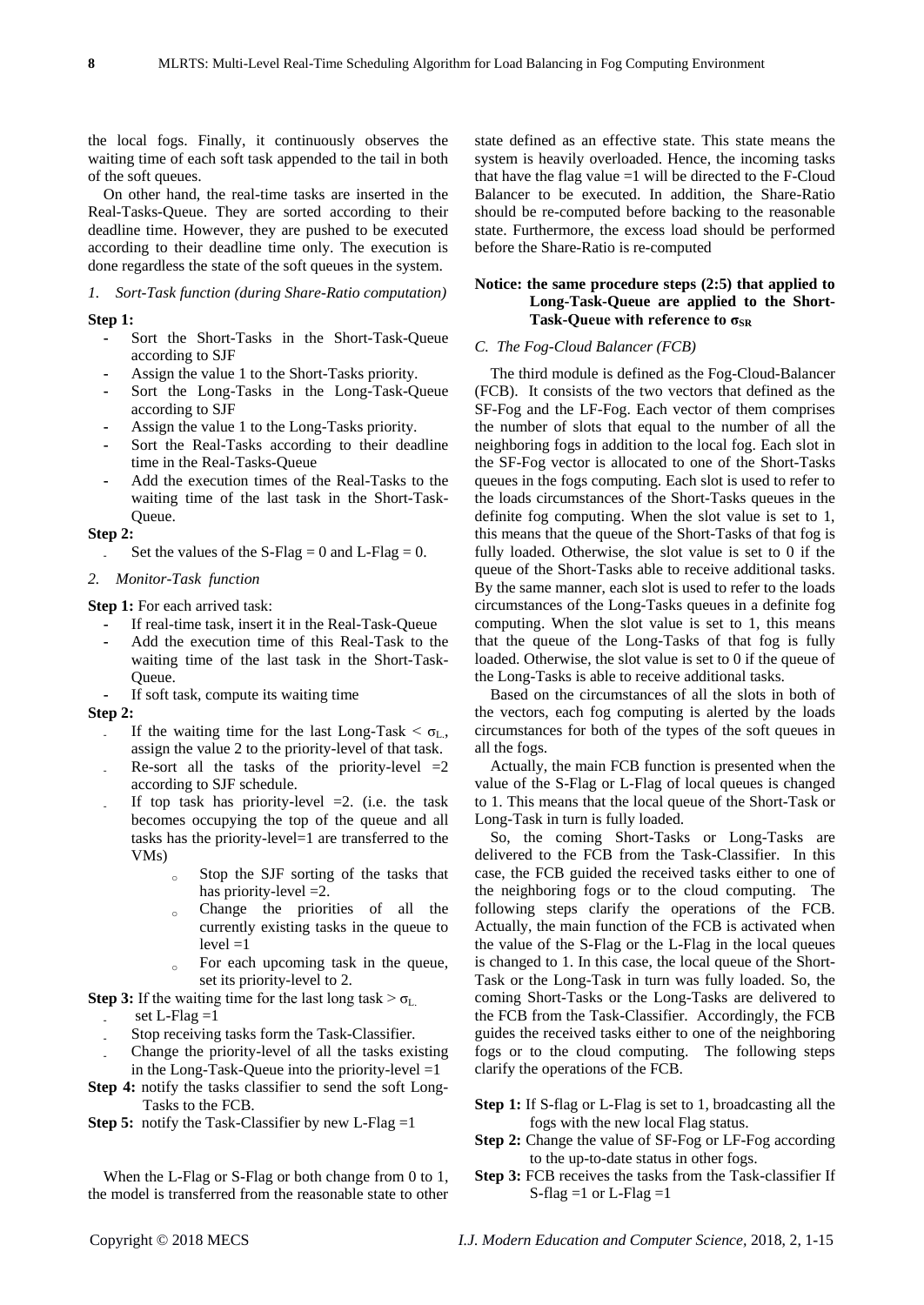the local fogs. Finally, it continuously observes the waiting time of each soft task appended to the tail in both of the soft queues.

On other hand, the real-time tasks are inserted in the Real-Tasks-Queue. They are sorted according to their deadline time. However, they are pushed to be executed according to their deadline time only. The execution is done regardless the state of the soft queues in the system.

# *1. Sort-Task function (during Share-Ratio computation)*

# **Step 1:**

- **-** Sort the Short-Tasks in the Short-Task-Queue according to SJF
- **-** Assign the value 1 to the Short-Tasks priority.
- **-** Sort the Long-Tasks in the Long-Task-Queue according to SJF
- **-** Assign the value 1 to the Long-Tasks priority.
- **-** Sort the Real-Tasks according to their deadline time in the Real-Tasks-Queue
- **-** Add the execution times of the Real-Tasks to the waiting time of the last task in the Short-Task-Queue.

#### **Step 2:**

Set the values of the S-Flag  $= 0$  and L-Flag  $= 0$ .

#### *2. Monitor-Task function*

**Step 1:** For each arrived task:

- **-** If real-time task, insert it in the Real-Task-Queue
- **-** Add the execution time of this Real-Task to the waiting time of the last task in the Short-Task-Queue.
- **-** If soft task, compute its waiting time

# **Step 2:**

- If the waiting time for the last Long-Task  $< \sigma_{L}$ , assign the value 2 to the priority-level of that task.
- Re-sort all the tasks of the priority-level  $=2$ according to SJF schedule.
- If top task has priority-level  $=2$ . (i.e. the task becomes occupying the top of the queue and all tasks has the priority-level=1 are transferred to the VMs)
	- $\sim$  Stop the SJF sorting of the tasks that has priority-level = 2.
	- Change the priorities of all the currently existing tasks in the queue to  $level = 1$
	- $\circ$  For each upcoming task in the queue, set its priority-level to 2.

# **Step 3:** If the waiting time for the last long task  $> \sigma_L$ .

- set  $L$ -Flag  $=1$
- **-** Stop receiving tasks form the Task-Classifier.
- **-** Change the priority-level of all the tasks existing in the Long-Task-Queue into the priority-level  $=1$
- **Step 4:** notify the tasks classifier to send the soft Long-Tasks to the FCB.
- **Step 5:** notify the Task-Classifier by new L-Flag =1

When the L-Flag or S-Flag or both change from 0 to 1, the model is transferred from the reasonable state to other state defined as an effective state. This state means the system is heavily overloaded. Hence, the incoming tasks that have the flag value  $=1$  will be directed to the F-Cloud Balancer to be executed. In addition, the Share-Ratio should be re-computed before backing to the reasonable state. Furthermore, the excess load should be performed before the Share-Ratio is re-computed

# **Notice: the same procedure steps (2:5) that applied to Long-Task-Queue are applied to the Short-**Task-Queue with reference to σ<sub>SR</sub>

# *C. The Fog-Cloud Balancer (FCB)*

The third module is defined as the Fog-Cloud-Balancer (FCB). It consists of the two vectors that defined as the SF-Fog and the LF-Fog. Each vector of them comprises the number of slots that equal to the number of all the neighboring fogs in addition to the local fog. Each slot in the SF-Fog vector is allocated to one of the Short-Tasks queues in the fogs computing. Each slot is used to refer to the loads circumstances of the Short-Tasks queues in the definite fog computing. When the slot value is set to 1, this means that the queue of the Short-Tasks of that fog is fully loaded. Otherwise, the slot value is set to 0 if the queue of the Short-Tasks able to receive additional tasks. By the same manner, each slot is used to refer to the loads circumstances of the Long-Tasks queues in a definite fog computing. When the slot value is set to 1, this means that the queue of the Long-Tasks of that fog is fully loaded. Otherwise, the slot value is set to 0 if the queue of the Long-Tasks is able to receive additional tasks.

Based on the circumstances of all the slots in both of the vectors, each fog computing is alerted by the loads circumstances for both of the types of the soft queues in all the fogs.

Actually, the main FCB function is presented when the value of the S-Flag or L-Flag of local queues is changed to 1. This means that the local queue of the Short-Task or Long-Task in turn is fully loaded.

So, the coming Short-Tasks or Long-Tasks are delivered to the FCB from the Task-Classifier. In this case, the FCB guided the received tasks either to one of the neighboring fogs or to the cloud computing. The following steps clarify the operations of the FCB. Actually, the main function of the FCB is activated when the value of the S-Flag or the L-Flag in the local queues is changed to 1. In this case, the local queue of the Short-Task or the Long-Task in turn was fully loaded. So, the coming Short-Tasks or the Long-Tasks are delivered to the FCB from the Task-Classifier. Accordingly, the FCB guides the received tasks either to one of the neighboring fogs or to the cloud computing. The following steps clarify the operations of the FCB.

- **Step 1:** If S-flag or L-Flag is set to 1, broadcasting all the fogs with the new local Flag status.
- **Step 2:** Change the value of SF-Fog or LF-Fog according to the up-to-date status in other fogs.
- **Step 3:** FCB receives the tasks from the Task-classifier If S-flag  $=1$  or L-Flag  $=1$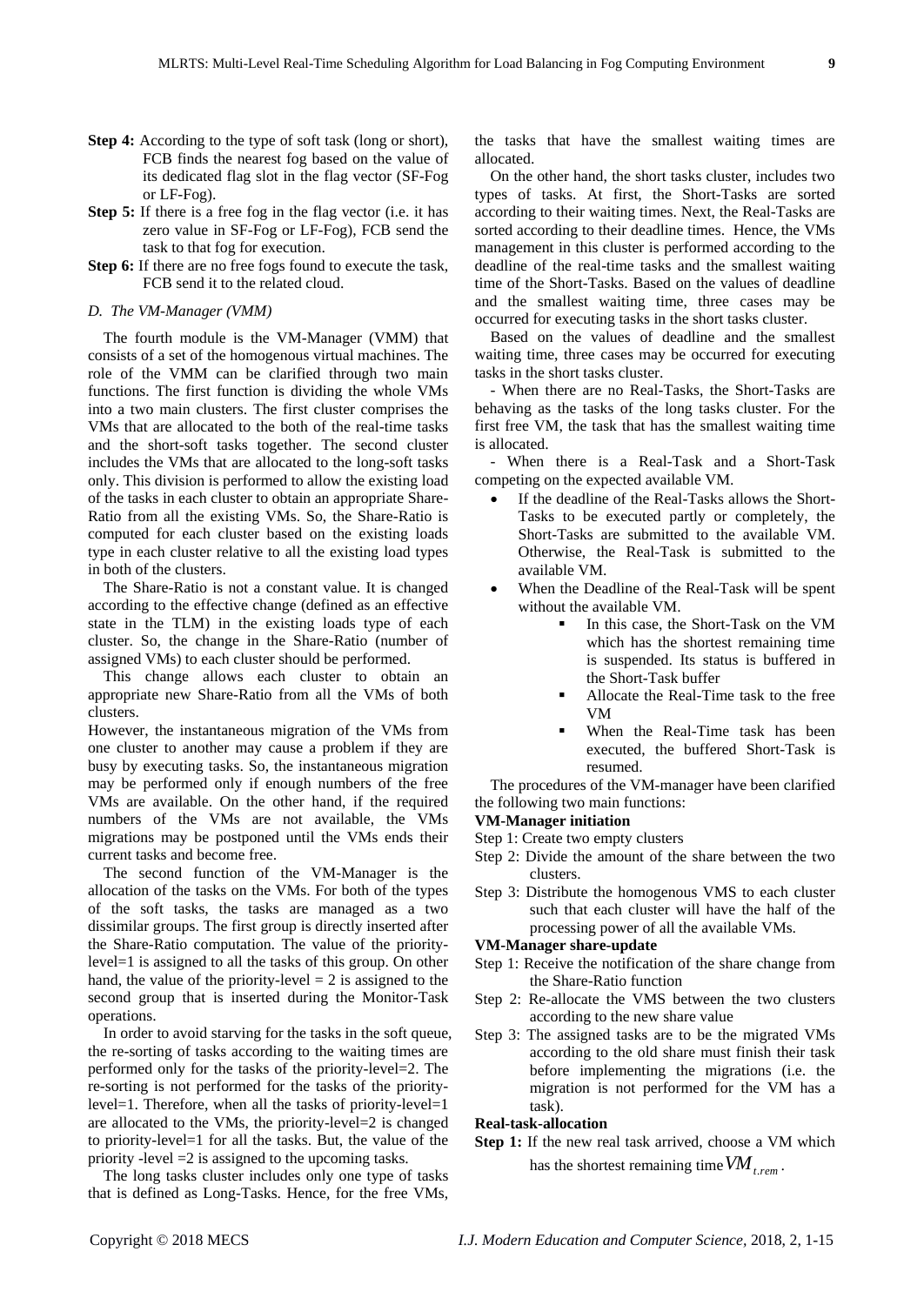- **Step 4:** According to the type of soft task (long or short), FCB finds the nearest fog based on the value of its dedicated flag slot in the flag vector (SF-Fog or LF-Fog).
- **Step 5:** If there is a free fog in the flag vector (i.e. it has zero value in SF-Fog or LF-Fog), FCB send the task to that fog for execution.
- **Step 6:** If there are no free fogs found to execute the task, FCB send it to the related cloud.

#### *D. The VM-Manager (VMM)*

The fourth module is the VM-Manager (VMM) that consists of a set of the homogenous virtual machines. The role of the VMM can be clarified through two main functions. The first function is dividing the whole VMs into a two main clusters. The first cluster comprises the VMs that are allocated to the both of the real-time tasks and the short-soft tasks together. The second cluster includes the VMs that are allocated to the long-soft tasks only. This division is performed to allow the existing load of the tasks in each cluster to obtain an appropriate Share-Ratio from all the existing VMs. So, the Share-Ratio is computed for each cluster based on the existing loads type in each cluster relative to all the existing load types in both of the clusters.

The Share-Ratio is not a constant value. It is changed according to the effective change (defined as an effective state in the TLM) in the existing loads type of each cluster. So, the change in the Share-Ratio (number of assigned VMs) to each cluster should be performed.

This change allows each cluster to obtain an appropriate new Share-Ratio from all the VMs of both clusters.

However, the instantaneous migration of the VMs from one cluster to another may cause a problem if they are busy by executing tasks. So, the instantaneous migration may be performed only if enough numbers of the free VMs are available. On the other hand, if the required numbers of the VMs are not available, the VMs migrations may be postponed until the VMs ends their current tasks and become free.

The second function of the VM-Manager is the allocation of the tasks on the VMs. For both of the types of the soft tasks, the tasks are managed as a two dissimilar groups. The first group is directly inserted after the Share-Ratio computation. The value of the prioritylevel=1 is assigned to all the tasks of this group. On other hand, the value of the priority-level  $= 2$  is assigned to the second group that is inserted during the Monitor-Task operations.

In order to avoid starving for the tasks in the soft queue, the re-sorting of tasks according to the waiting times are performed only for the tasks of the priority-level=2. The re-sorting is not performed for the tasks of the prioritylevel=1. Therefore, when all the tasks of priority-level=1 are allocated to the VMs, the priority-level=2 is changed to priority-level=1 for all the tasks. But, the value of the priority -level =2 is assigned to the upcoming tasks.

The long tasks cluster includes only one type of tasks that is defined as Long-Tasks. Hence, for the free VMs,

the tasks that have the smallest waiting times are allocated.

On the other hand, the short tasks cluster, includes two types of tasks. At first, the Short-Tasks are sorted according to their waiting times. Next, the Real-Tasks are sorted according to their deadline times. Hence, the VMs management in this cluster is performed according to the deadline of the real-time tasks and the smallest waiting time of the Short-Tasks. Based on the values of deadline and the smallest waiting time, three cases may be occurred for executing tasks in the short tasks cluster.

Based on the values of deadline and the smallest waiting time, three cases may be occurred for executing tasks in the short tasks cluster.

- When there are no Real-Tasks, the Short-Tasks are behaving as the tasks of the long tasks cluster. For the first free VM, the task that has the smallest waiting time is allocated.

- When there is a Real-Task and a Short-Task competing on the expected available VM.

- If the deadline of the Real-Tasks allows the Short-Tasks to be executed partly or completely, the Short-Tasks are submitted to the available VM. Otherwise, the Real-Task is submitted to the available VM.
- When the Deadline of the Real-Task will be spent without the available VM.
	- In this case, the Short-Task on the VM which has the shortest remaining time is suspended. Its status is buffered in the Short-Task buffer
	- Allocate the Real-Time task to the free VM
	- When the Real-Time task has been executed, the buffered Short-Task is resumed.

The procedures of the VM-manager have been clarified the following two main functions:

#### **VM-Manager initiation**

- Step 1: Create two empty clusters
	- Step 2: Divide the amount of the share between the two clusters.
	- Step 3: Distribute the homogenous VMS to each cluster such that each cluster will have the half of the processing power of all the available VMs.

# **VM-Manager share-update**

- Step 1: Receive the notification of the share change from the Share-Ratio function
- Step 2: Re-allocate the VMS between the two clusters according to the new share value
- Step 3: The assigned tasks are to be the migrated VMs according to the old share must finish their task before implementing the migrations (i.e. the migration is not performed for the VM has a task).

# **Real-task-allocation**

**Step 1:** If the new real task arrived, choose a VM which has the shortest remaining time *VMt*.*rem* .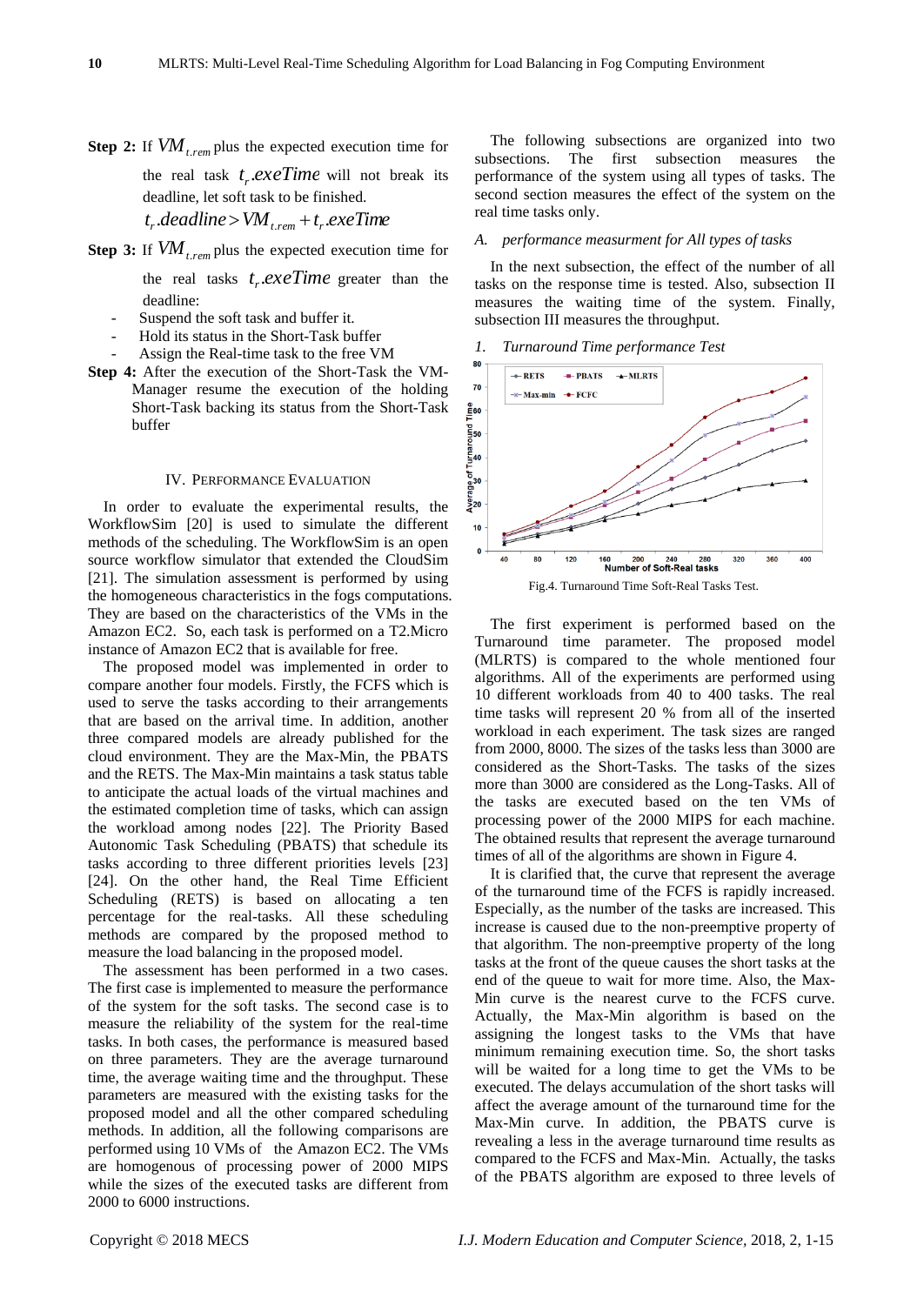**Step 2:** If *VMt*.*rem* plus the expected execution time for

the real task  $t_r$  *exeTime* will not break its deadline, let soft task to be finished.

$$
t_r.deadline > VM_{t,rem} + t_r.exeTime
$$

**Step 3:** If *VMt*.*rem* plus the expected execution time for

the real tasks  $t_r$  *exeTime* greater than the deadline:

- Suspend the soft task and buffer it.
- Hold its status in the Short-Task buffer
- Assign the Real-time task to the free VM
- **Step 4:** After the execution of the Short-Task the VM-Manager resume the execution of the holding Short-Task backing its status from the Short-Task buffer

#### IV. PERFORMANCE EVALUATION

In order to evaluate the experimental results, the WorkflowSim [20] is used to simulate the different methods of the scheduling. The WorkflowSim is an open source workflow simulator that extended the CloudSim [21]. The simulation assessment is performed by using the homogeneous characteristics in the fogs computations. They are based on the characteristics of the VMs in the Amazon EC2. So, each task is performed on a T2.Micro instance of Amazon EC2 that is available for free.

The proposed model was implemented in order to compare another four models. Firstly, the FCFS which is used to serve the tasks according to their arrangements that are based on the arrival time. In addition, another three compared models are already published for the cloud environment. They are the Max-Min, the PBATS and the RETS. The Max-Min maintains a task status table to anticipate the actual loads of the virtual machines and the estimated completion time of tasks, which can assign the workload among nodes [22]. The Priority Based Autonomic Task Scheduling (PBATS) that schedule its tasks according to three different priorities levels [23] [24]. On the other hand, the Real Time Efficient Scheduling (RETS) is based on allocating a ten percentage for the real-tasks. All these scheduling methods are compared by the proposed method to measure the load balancing in the proposed model.

The assessment has been performed in a two cases. The first case is implemented to measure the performance of the system for the soft tasks. The second case is to measure the reliability of the system for the real-time tasks. In both cases, the performance is measured based on three parameters. They are the average turnaround time, the average waiting time and the throughput. These parameters are measured with the existing tasks for the proposed model and all the other compared scheduling methods. In addition, all the following comparisons are performed using 10 VMs of the Amazon EC2. The VMs are homogenous of processing power of 2000 MIPS while the sizes of the executed tasks are different from 2000 to 6000 instructions.

The following subsections are organized into two subsections. The first subsection measures the performance of the system using all types of tasks. The second section measures the effect of the system on the real time tasks only.

#### *A. performance measurment for All types of tasks*

In the next subsection, the effect of the number of all tasks on the response time is tested. Also, subsection II measures the waiting time of the system. Finally, subsection III measures the throughput.

#### *1. Turnaround Time performance Test*



The first experiment is performed based on the Turnaround time parameter. The proposed model (MLRTS) is compared to the whole mentioned four algorithms. All of the experiments are performed using 10 different workloads from 40 to 400 tasks. The real time tasks will represent 20 % from all of the inserted workload in each experiment. The task sizes are ranged from 2000, 8000. The sizes of the tasks less than 3000 are considered as the Short-Tasks. The tasks of the sizes more than 3000 are considered as the Long-Tasks. All of the tasks are executed based on the ten VMs of processing power of the 2000 MIPS for each machine. The obtained results that represent the average turnaround times of all of the algorithms are shown in Figure 4.

It is clarified that, the curve that represent the average of the turnaround time of the FCFS is rapidly increased. Especially, as the number of the tasks are increased. This increase is caused due to the non-preemptive property of that algorithm. The non-preemptive property of the long tasks at the front of the queue causes the short tasks at the end of the queue to wait for more time. Also, the Max-Min curve is the nearest curve to the FCFS curve. Actually, the Max-Min algorithm is based on the assigning the longest tasks to the VMs that have minimum remaining execution time. So, the short tasks will be waited for a long time to get the VMs to be executed. The delays accumulation of the short tasks will affect the average amount of the turnaround time for the Max-Min curve. In addition, the PBATS curve is revealing a less in the average turnaround time results as compared to the FCFS and Max-Min. Actually, the tasks of the PBATS algorithm are exposed to three levels of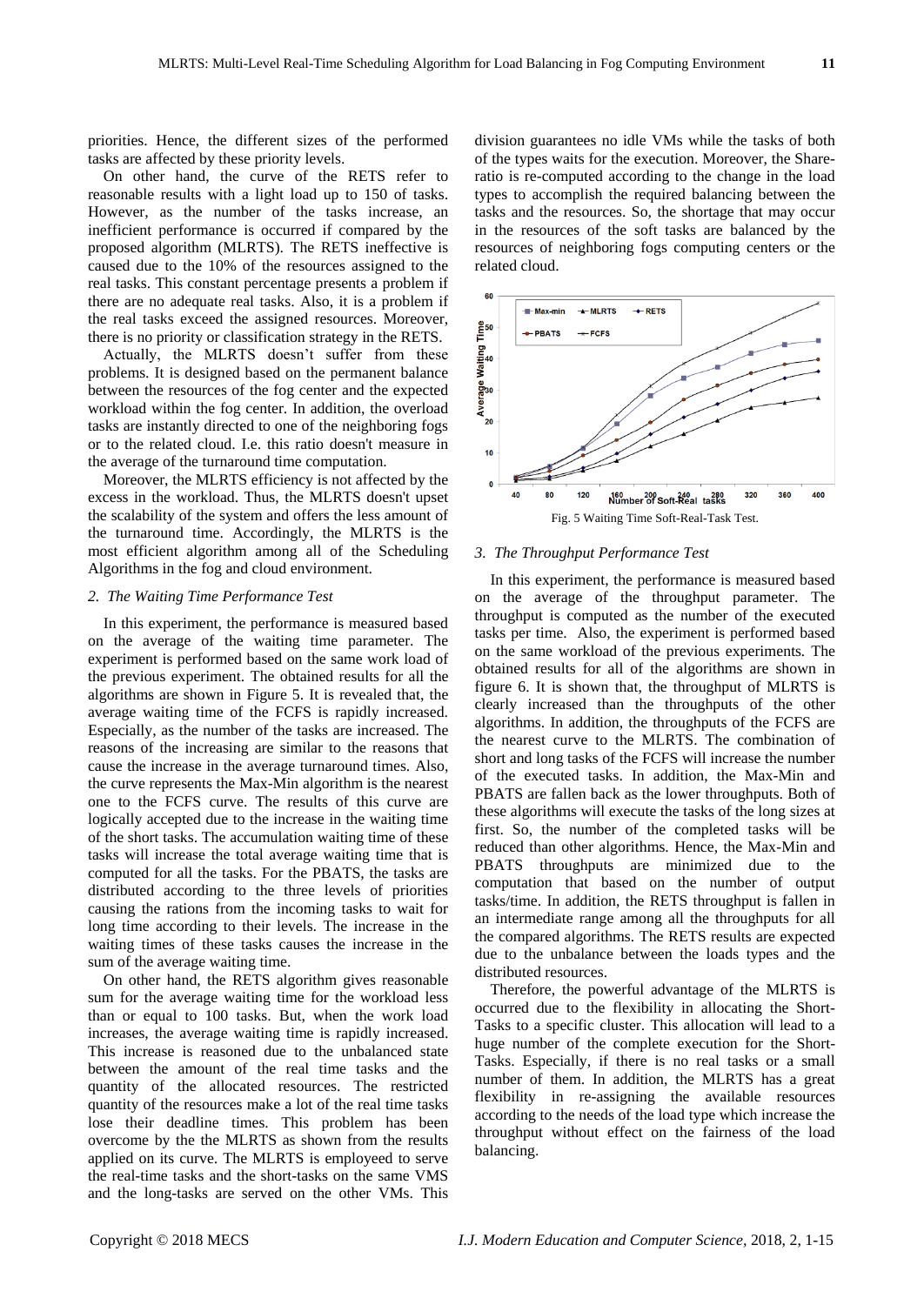priorities. Hence, the different sizes of the performed tasks are affected by these priority levels.

On other hand, the curve of the RETS refer to reasonable results with a light load up to 150 of tasks. However, as the number of the tasks increase, an inefficient performance is occurred if compared by the proposed algorithm (MLRTS). The RETS ineffective is caused due to the 10% of the resources assigned to the real tasks. This constant percentage presents a problem if there are no adequate real tasks. Also, it is a problem if the real tasks exceed the assigned resources. Moreover, there is no priority or classification strategy in the RETS.

Actually, the MLRTS doesn't suffer from these problems. It is designed based on the permanent balance between the resources of the fog center and the expected workload within the fog center. In addition, the overload tasks are instantly directed to one of the neighboring fogs or to the related cloud. I.e. this ratio doesn't measure in the average of the turnaround time computation.

Moreover, the MLRTS efficiency is not affected by the excess in the workload. Thus, the MLRTS doesn't upset the scalability of the system and offers the less amount of the turnaround time. Accordingly, the MLRTS is the most efficient algorithm among all of the Scheduling Algorithms in the fog and cloud environment.

# *2. The Waiting Time Performance Test*

In this experiment, the performance is measured based on the average of the waiting time parameter. The experiment is performed based on the same work load of the previous experiment. The obtained results for all the algorithms are shown in Figure 5. It is revealed that, the average waiting time of the FCFS is rapidly increased. Especially, as the number of the tasks are increased. The reasons of the increasing are similar to the reasons that cause the increase in the average turnaround times. Also, the curve represents the Max-Min algorithm is the nearest one to the FCFS curve. The results of this curve are logically accepted due to the increase in the waiting time of the short tasks. The accumulation waiting time of these tasks will increase the total average waiting time that is computed for all the tasks. For the PBATS, the tasks are distributed according to the three levels of priorities causing the rations from the incoming tasks to wait for long time according to their levels. The increase in the waiting times of these tasks causes the increase in the sum of the average waiting time.

On other hand, the RETS algorithm gives reasonable sum for the average waiting time for the workload less than or equal to 100 tasks. But, when the work load increases, the average waiting time is rapidly increased. This increase is reasoned due to the unbalanced state between the amount of the real time tasks and the quantity of the allocated resources. The restricted quantity of the resources make a lot of the real time tasks lose their deadline times. This problem has been overcome by the the MLRTS as shown from the results applied on its curve. The MLRTS is employeed to serve the real-time tasks and the short-tasks on the same VMS and the long-tasks are served on the other VMs. This

division guarantees no idle VMs while the tasks of both of the types waits for the execution. Moreover, the Shareratio is re-computed according to the change in the load types to accomplish the required balancing between the tasks and the resources. So, the shortage that may occur in the resources of the soft tasks are balanced by the resources of neighboring fogs computing centers or the related cloud.



#### *3. The Throughput Performance Test*

In this experiment, the performance is measured based on the average of the throughput parameter. The throughput is computed as the number of the executed tasks per time. Also, the experiment is performed based on the same workload of the previous experiments*.* The obtained results for all of the algorithms are shown in figure 6. It is shown that, the throughput of MLRTS is clearly increased than the throughputs of the other algorithms. In addition, the throughputs of the FCFS are the nearest curve to the MLRTS. The combination of short and long tasks of the FCFS will increase the number of the executed tasks. In addition, the Max-Min and PBATS are fallen back as the lower throughputs. Both of these algorithms will execute the tasks of the long sizes at first. So, the number of the completed tasks will be reduced than other algorithms. Hence, the Max-Min and PBATS throughputs are minimized due to the computation that based on the number of output tasks/time. In addition, the RETS throughput is fallen in an intermediate range among all the throughputs for all the compared algorithms. The RETS results are expected due to the unbalance between the loads types and the distributed resources.

Therefore, the powerful advantage of the MLRTS is occurred due to the flexibility in allocating the Short-Tasks to a specific cluster. This allocation will lead to a huge number of the complete execution for the Short-Tasks. Especially, if there is no real tasks or a small number of them. In addition, the MLRTS has a great flexibility in re-assigning the available resources according to the needs of the load type which increase the throughput without effect on the fairness of the load balancing.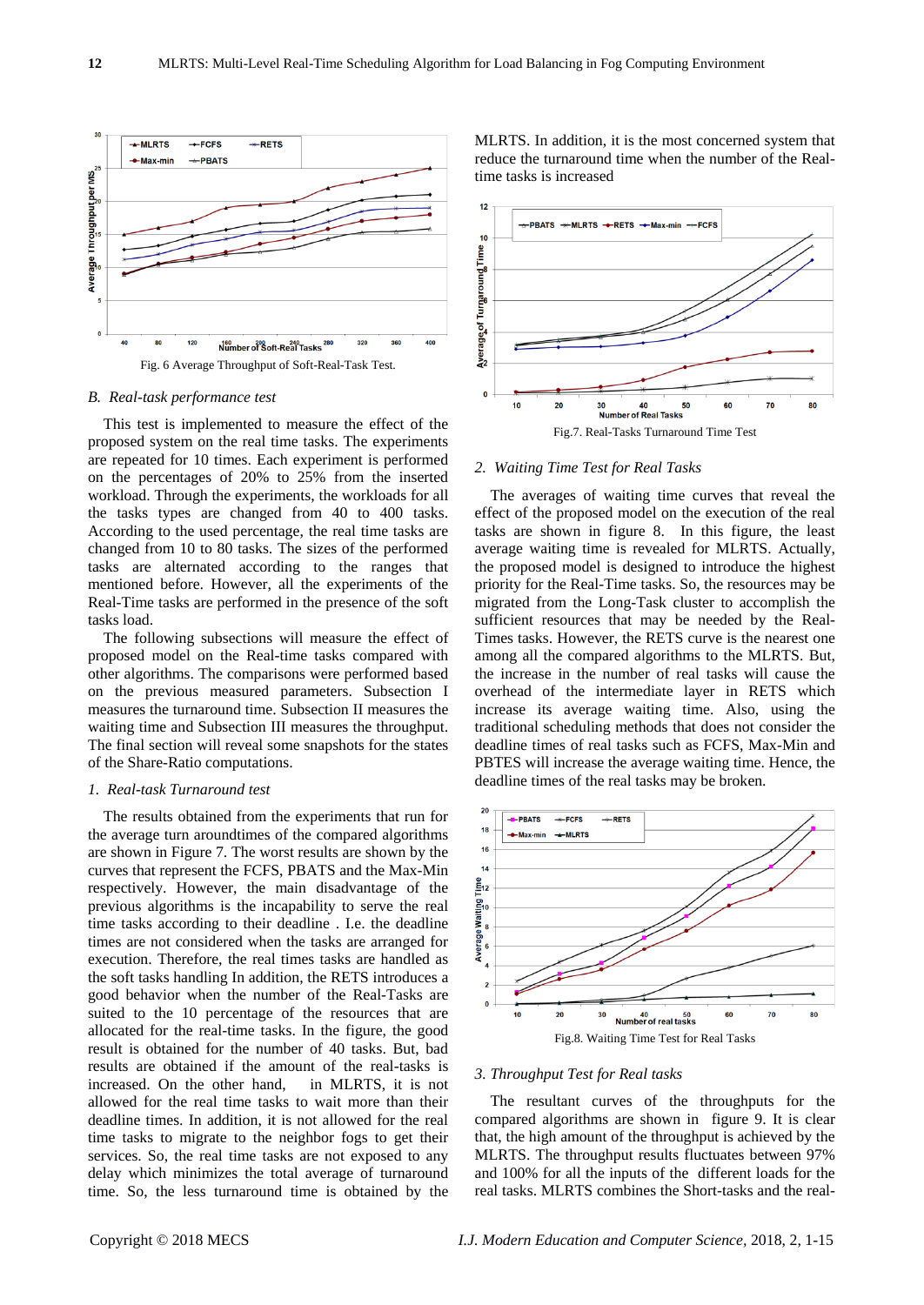

# *B. Real-task performance test*

This test is implemented to measure the effect of the proposed system on the real time tasks. The experiments are repeated for 10 times. Each experiment is performed on the percentages of 20% to 25% from the inserted workload. Through the experiments, the workloads for all the tasks types are changed from 40 to 400 tasks. According to the used percentage, the real time tasks are changed from 10 to 80 tasks. The sizes of the performed tasks are alternated according to the ranges that mentioned before. However, all the experiments of the Real-Time tasks are performed in the presence of the soft tasks load.

The following subsections will measure the effect of proposed model on the Real-time tasks compared with other algorithms. The comparisons were performed based on the previous measured parameters. Subsection I measures the turnaround time. Subsection II measures the waiting time and Subsection III measures the throughput. The final section will reveal some snapshots for the states of the Share-Ratio computations.

# *1. Real-task Turnaround test*

The results obtained from the experiments that run for the average turn aroundtimes of the compared algorithms are shown in Figure 7. The worst results are shown by the curves that represent the FCFS, PBATS and the Max-Min respectively. However, the main disadvantage of the previous algorithms is the incapability to serve the real time tasks according to their deadline . I.e. the deadline times are not considered when the tasks are arranged for execution. Therefore, the real times tasks are handled as the soft tasks handling In addition, the RETS introduces a good behavior when the number of the Real-Tasks are suited to the 10 percentage of the resources that are allocated for the real-time tasks. In the figure, the good result is obtained for the number of 40 tasks. But, bad results are obtained if the amount of the real-tasks is increased. On the other hand, in MLRTS, it is not allowed for the real time tasks to wait more than their deadline times. In addition, it is not allowed for the real time tasks to migrate to the neighbor fogs to get their services. So, the real time tasks are not exposed to any delay which minimizes the total average of turnaround time. So, the less turnaround time is obtained by the

MLRTS. In addition, it is the most concerned system that reduce the turnaround time when the number of the Realtime tasks is increased



#### *2. Waiting Time Test for Real Tasks*

The averages of waiting time curves that reveal the effect of the proposed model on the execution of the real tasks are shown in figure 8. In this figure, the least average waiting time is revealed for MLRTS. Actually, the proposed model is designed to introduce the highest priority for the Real-Time tasks. So, the resources may be migrated from the Long-Task cluster to accomplish the sufficient resources that may be needed by the Real-Times tasks. However, the RETS curve is the nearest one among all the compared algorithms to the MLRTS. But, the increase in the number of real tasks will cause the overhead of the intermediate layer in RETS which increase its average waiting time. Also, using the traditional scheduling methods that does not consider the deadline times of real tasks such as FCFS, Max-Min and PBTES will increase the average waiting time. Hence, the deadline times of the real tasks may be broken.



#### *3. Throughput Test for Real tasks*

The resultant curves of the throughputs for the compared algorithms are shown in figure 9. It is clear that, the high amount of the throughput is achieved by the MLRTS. The throughput results fluctuates between 97% and 100% for all the inputs of the different loads for the real tasks. MLRTS combines the Short-tasks and the real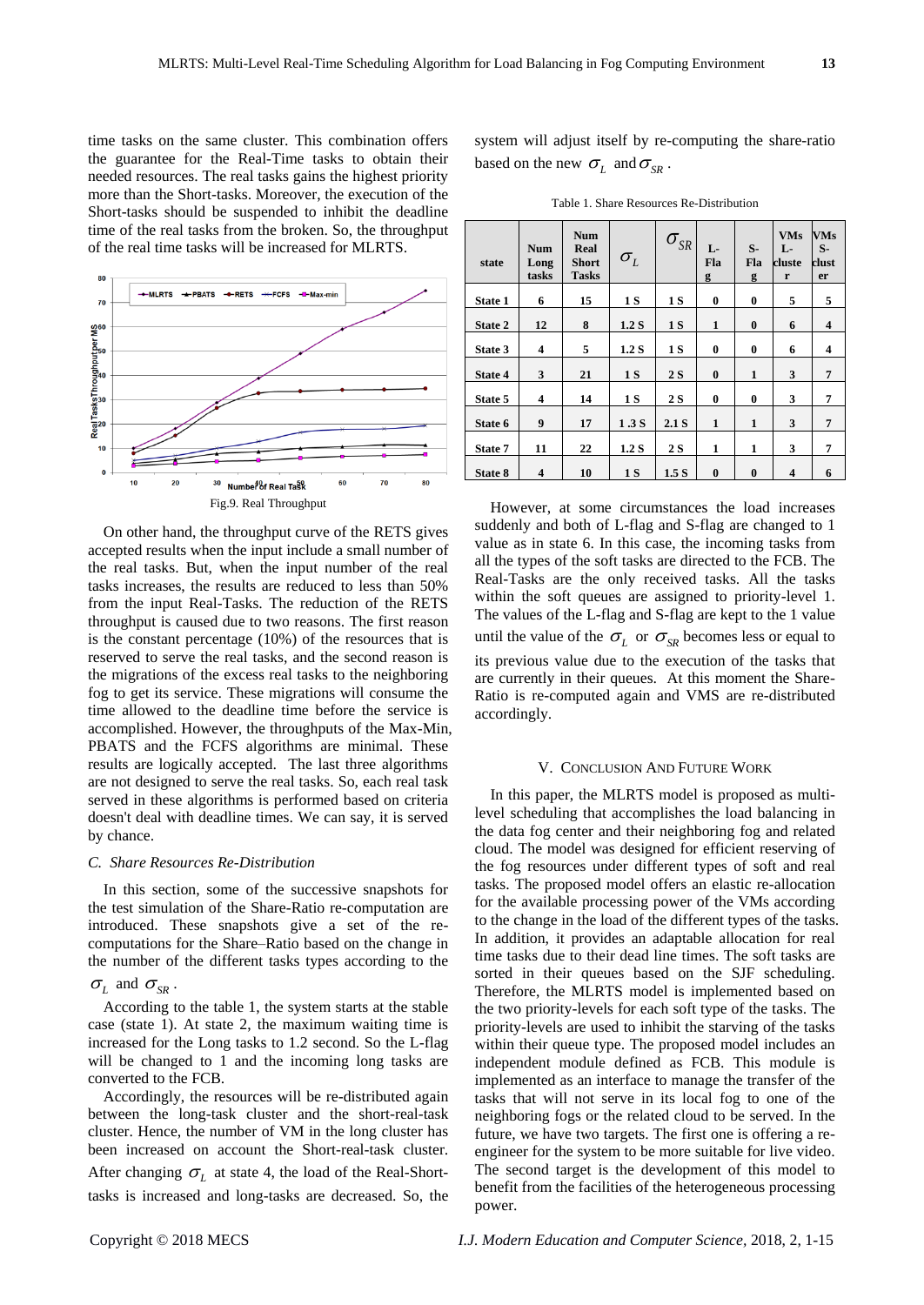time tasks on the same cluster. This combination offers the guarantee for the Real-Time tasks to obtain their needed resources. The real tasks gains the highest priority more than the Short-tasks. Moreover, the execution of the Short-tasks should be suspended to inhibit the deadline time of the real tasks from the broken. So, the throughput of the real time tasks will be increased for MLRTS.



On other hand, the throughput curve of the RETS gives accepted results when the input include a small number of the real tasks. But, when the input number of the real tasks increases, the results are reduced to less than 50% from the input Real-Tasks. The reduction of the RETS throughput is caused due to two reasons. The first reason is the constant percentage (10%) of the resources that is reserved to serve the real tasks, and the second reason is the migrations of the excess real tasks to the neighboring fog to get its service. These migrations will consume the time allowed to the deadline time before the service is accomplished. However, the throughputs of the Max-Min, PBATS and the FCFS algorithms are minimal. These results are logically accepted. The last three algorithms are not designed to serve the real tasks. So, each real task served in these algorithms is performed based on criteria doesn't deal with deadline times. We can say, it is served by chance.

#### *C. Share Resources Re-Distribution*

In this section, some of the successive snapshots for the test simulation of the Share-Ratio re-computation are introduced. These snapshots give a set of the recomputations for the Share–Ratio based on the change in the number of the different tasks types according to the

# $\sigma$ <sub>L</sub> and  $\sigma$ <sub>SR</sub>.

According to the table 1, the system starts at the stable case (state 1). At state 2, the maximum waiting time is increased for the Long tasks to 1.2 second. So the L-flag will be changed to 1 and the incoming long tasks are converted to the FCB.

Accordingly, the resources will be re-distributed again between the long-task cluster and the short-real-task cluster. Hence, the number of VM in the long cluster has been increased on account the Short-real-task cluster. After changing  $\sigma_{L}$  at state 4, the load of the Real-Shorttasks is increased and long-tasks are decreased. So, the

system will adjust itself by re-computing the share-ratio based on the new  $\sigma_{L}$  and  $\sigma_{SR}$ .

Table 1. Share Resources Re-Distribution

| state          | <b>Num</b><br>Long<br>tasks | <b>Num</b><br>Real<br><b>Short</b><br><b>Tasks</b> | $\sigma_{L}$ | $\sigma_{_{SR}}$ | L-<br>Fla<br>g | $S-$<br>Fla<br>g | <b>VMs</b><br>$L -$<br>cluste<br>r | <b>VMs</b><br>$S-$<br>clust<br>er |
|----------------|-----------------------------|----------------------------------------------------|--------------|------------------|----------------|------------------|------------------------------------|-----------------------------------|
| <b>State 1</b> | 6                           | 15                                                 | 1S           | 1 S              | $\bf{0}$       | $\bf{0}$         | 5                                  | 5                                 |
| State 2        | 12                          | 8                                                  | 1.2 S        | 1 S              | $\mathbf{1}$   | $\bf{0}$         | 6                                  | $\overline{\mathbf{4}}$           |
| State 3        | 4                           | 5                                                  | 1.2 S        | 1S               | $\bf{0}$       | $\bf{0}$         | 6                                  | 4                                 |
| <b>State 4</b> | 3                           | 21                                                 | 1 S          | 2S               | $\mathbf{0}$   | 1                | 3                                  | $\overline{7}$                    |
| State 5        | 4                           | 14                                                 | 1 S          | <b>2 S</b>       | $\bf{0}$       | $\bf{0}$         | 3                                  | 7                                 |
| State 6        | 9                           | 17                                                 | 1.3S         | 2.1 S            | $\mathbf{1}$   | $\mathbf{1}$     | 3                                  | $\overline{7}$                    |
| State 7        | 11                          | 22                                                 | 1.2 S        | <b>2 S</b>       | 1              | 1                | 3                                  | 7                                 |
| State 8        | $\overline{\mathbf{4}}$     | 10                                                 | 1S           | 1.5 <sub>S</sub> | $\mathbf{0}$   | 0                | 4                                  | 6                                 |

However, at some circumstances the load increases suddenly and both of L-flag and S-flag are changed to 1 value as in state 6. In this case, the incoming tasks from all the types of the soft tasks are directed to the FCB. The Real-Tasks are the only received tasks. All the tasks within the soft queues are assigned to priority-level 1. The values of the L-flag and S-flag are kept to the 1 value until the value of the  $\sigma_{L}$  or  $\sigma_{SR}$  becomes less or equal to its previous value due to the execution of the tasks that are currently in their queues. At this moment the Share-Ratio is re-computed again and VMS are re-distributed accordingly.

#### V. CONCLUSION AND FUTURE WORK

In this paper, the MLRTS model is proposed as multilevel scheduling that accomplishes the load balancing in the data fog center and their neighboring fog and related cloud. The model was designed for efficient reserving of the fog resources under different types of soft and real tasks. The proposed model offers an elastic re-allocation for the available processing power of the VMs according to the change in the load of the different types of the tasks. In addition, it provides an adaptable allocation for real time tasks due to their dead line times. The soft tasks are sorted in their queues based on the SJF scheduling. Therefore, the MLRTS model is implemented based on the two priority-levels for each soft type of the tasks. The priority-levels are used to inhibit the starving of the tasks within their queue type. The proposed model includes an independent module defined as FCB. This module is implemented as an interface to manage the transfer of the tasks that will not serve in its local fog to one of the neighboring fogs or the related cloud to be served. In the future, we have two targets. The first one is offering a reengineer for the system to be more suitable for live video. The second target is the development of this model to benefit from the facilities of the heterogeneous processing power.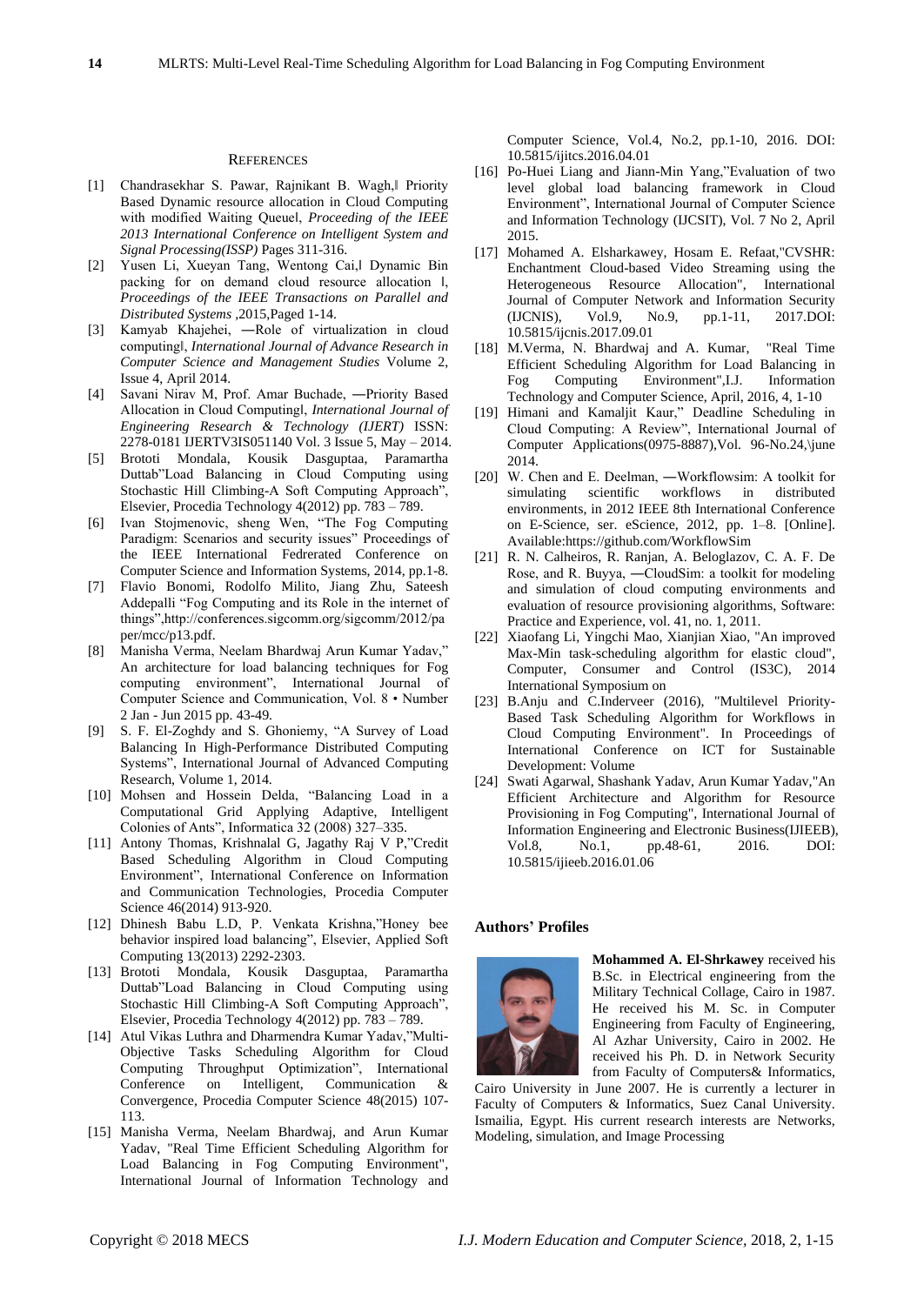#### **REFERENCES**

- [1] Chandrasekhar S. Pawar, Rajnikant B. Wagh,‖ Priority Based Dynamic resource allocation in Cloud Computing with modified Waiting Queue‖, *Proceeding of the IEEE 2013 International Conference on Intelligent System and Signal Processing(ISSP)* Pages 311-316.
- [2] Yusen Li, Xueyan Tang, Wentong Cai,‖ Dynamic Bin packing for on demand cloud resource allocation ‖, *Proceedings of the IEEE Transactions on Parallel and Distributed Systems* ,2015,Paged 1-14.
- [3] Kamyab Khajehei, ―Role of virtualization in cloud computing‖, *International Journal of Advance Research in Computer Science and Management Studies* Volume 2, Issue 4, April 2014.
- [4] Savani Nirav M, Prof. Amar Buchade, ―Priority Based Allocation in Cloud Computingl, *International Journal of Engineering Research & Technology (IJERT)* ISSN: 2278-0181 IJERTV3IS051140 Vol. 3 Issue 5, May – 2014.
- [5] Brototi Mondala, Kousik Dasguptaa, Paramartha Duttab"Load Balancing in Cloud Computing using Stochastic Hill Climbing-A Soft Computing Approach", Elsevier, Procedia Technology 4(2012) pp. 783 – 789.
- [6] Ivan Stojmenovic, sheng Wen, "The Fog Computing Paradigm: Scenarios and security issues" Proceedings of the IEEE International Fedrerated Conference on Computer Science and Information Systems, 2014, pp.1-8.
- [7] Flavio Bonomi, Rodolfo Milito, Jiang Zhu, Sateesh Addepalli "Fog Computing and its Role in the internet of things",http://conferences.sigcomm.org/sigcomm/2012/pa per/mcc/p13.pdf.
- [8] Manisha Verma, Neelam Bhardwaj Arun Kumar Yadav," An architecture for load balancing techniques for Fog computing environment", International Journal of Computer Science and Communication, Vol. 8 • Number 2 Jan - Jun 2015 pp. 43-49.
- [9] S. F. El-Zoghdy and S. Ghoniemy, "A Survey of Load Balancing In High-Performance Distributed Computing Systems", International Journal of Advanced Computing Research, Volume 1, 2014.
- [10] Mohsen and Hossein Delda, "Balancing Load in a Computational Grid Applying Adaptive, Intelligent Colonies of Ants", Informatica 32 (2008) 327–335.
- [11] Antony Thomas, Krishnalal G, Jagathy Raj V P,"Credit Based Scheduling Algorithm in Cloud Computing Environment", International Conference on Information and Communication Technologies, Procedia Computer Science 46(2014) 913-920.
- [12] Dhinesh Babu L.D, P. Venkata Krishna,"Honey bee behavior inspired load balancing", Elsevier, Applied Soft Computing 13(2013) 2292-2303.
- [13] Brototi Mondala, Kousik Dasguptaa, Paramartha Duttab"Load Balancing in Cloud Computing using Stochastic Hill Climbing-A Soft Computing Approach", Elsevier, Procedia Technology 4(2012) pp. 783 – 789.
- [14] Atul Vikas Luthra and Dharmendra Kumar Yadav,"Multi-Objective Tasks Scheduling Algorithm for Cloud Computing Throughput Optimization", International Conference on Intelligent, Communication & Convergence, Procedia Computer Science 48(2015) 107- 113.
- [15] Manisha Verma, Neelam Bhardwaj, and Arun Kumar Yadav, "Real Time Efficient Scheduling Algorithm for Load Balancing in Fog Computing Environment", International Journal of Information Technology and

Computer Science, Vol.4, No.2, pp.1-10, 2016. DOI: 10.5815/ijitcs.2016.04.01

- [16] Po-Huei Liang and Jiann-Min Yang,"Evaluation of two level global load balancing framework in Cloud Environment", International Journal of Computer Science and Information Technology (IJCSIT), Vol. 7 No 2, April 2015.
- [17] Mohamed A. Elsharkawey, Hosam E. Refaat,"CVSHR: Enchantment Cloud-based Video Streaming using the Heterogeneous Resource Allocation", International Journal of Computer Network and Information Security (IJCNIS), Vol.9, No.9, pp.1-11, 2017.DOI: 10.5815/ijcnis.2017.09.01
- [18] M.Verma, N. Bhardwaj and A. Kumar, "Real Time Efficient Scheduling Algorithm for Load Balancing in Fog Computing Environment",I.J. Information Technology and Computer Science, April, 2016, 4, 1-10
- [19] Himani and Kamaljit Kaur," Deadline Scheduling in Cloud Computing: A Review", International Journal of Computer Applications(0975-8887),Vol. 96-No.24,\june 2014.
- [20] W. Chen and E. Deelman, —Workflowsim: A toolkit for simulating scientific workflows in distributed environments, in 2012 IEEE 8th International Conference on E-Science, ser. eScience, 2012, pp. 1–8. [Online]. Available:https://github.com/WorkflowSim
- [21] R. N. Calheiros, R. Ranjan, A. Beloglazov, C. A. F. De Rose, and R. Buyya, ―CloudSim: a toolkit for modeling and simulation of cloud computing environments and evaluation of resource provisioning algorithms, Software: Practice and Experience, vol. 41, no. 1, 2011.
- [22] [Xiaofang Li,](http://ieeexplore.ieee.org/search/searchresult.jsp?searchWithin=%22Authors%22:.QT.%20Xiaofang%20Li.QT.&newsearch=true) [Yingchi Mao,](http://ieeexplore.ieee.org/search/searchresult.jsp?searchWithin=%22Authors%22:.QT.%20Yingchi%20Mao.QT.&newsearch=true) [Xianjian Xiao,](http://ieeexplore.ieee.org/search/searchresult.jsp?searchWithin=%22Authors%22:.QT.%20Xianjian%20Xiao.QT.&newsearch=true) "An improved Max-Min task-scheduling algorithm for elastic cloud", [Computer, Consumer and Control \(IS3C\), 2014](http://ieeexplore.ieee.org/xpl/mostRecentIssue.jsp?punumber=6845427)  [International Symposium on](http://ieeexplore.ieee.org/xpl/mostRecentIssue.jsp?punumber=6845427)
- [23] B.Anju and C.Inderveer (2016), "Multilevel Priority-Based Task Scheduling Algorithm for Workflows in Cloud Computing Environment". In Proceedings of International Conference on ICT for Sustainable Development: Volume
- [24] Swati Agarwal, Shashank Yadav, Arun Kumar Yadav,"An Efficient Architecture and Algorithm for Resource Provisioning in Fog Computing", International Journal of Information Engineering and Electronic Business(IJIEEB), Vol.8, No.1, pp.48-61, 2016. DOI: 10.5815/ijieeb.2016.01.06

#### **Authors' Profiles**



**Mohammed A. El-Shrkawey** received his B.Sc. in Electrical engineering from the Military Technical Collage, Cairo in 1987. He received his M. Sc. in Computer Engineering from Faculty of Engineering, Al Azhar University, Cairo in 2002. He received his Ph. D. in Network Security from Faculty of Computers& Informatics,

Cairo University in June 2007. He is currently a lecturer in Faculty of Computers & Informatics, Suez Canal University. Ismailia, Egypt. His current research interests are Networks, Modeling, simulation, and Image Processing